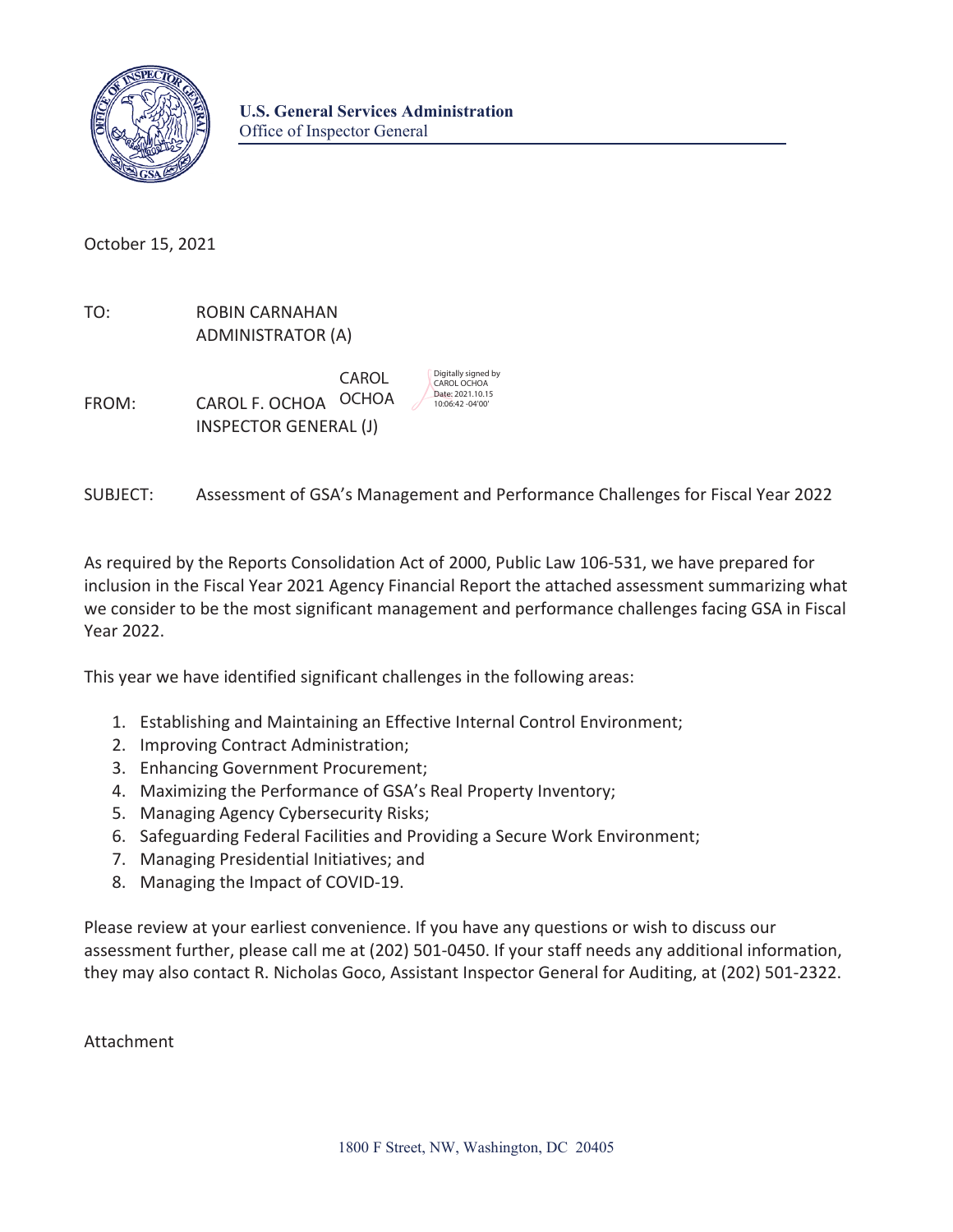

October 15, 2021

TO: ROBIN CARNAHAN ADMINISTRATOR (A)

FROM: **CAROL F. OCHOA** OCHOA  $\sqrt{\frac{20atte: 2021.10.15}{10:06:42-04'00}}}$ INSPECTOR GENERAL (J)

CAROL Digitally signed by<br>
CAROL CAROL OCHOA

SUBJECT: Assessment of GSA's Management and Performance Challenges for Fiscal Year 2022

As required by the Reports Consolidation Act of 2000, Public Law 106-531, we have prepared for inclusion in the Fiscal Year 2021 Agency Financial Report the attached assessment summarizing what we consider to be the most significant management and performance challenges facing GSA in Fiscal Year 2022.

This year we have identified significant challenges in the following areas:

- 1. Establishing and Maintaining an Effective Internal Control Environment;
- 2. Improving Contract Administration;
- 3. Enhancing Government Procurement;
- 4. Maximizing the Performance of GSA's Real Property Inventory;
- 5. Managing Agency Cybersecurity Risks;
- 6. Safeguarding Federal Facilities and Providing a Secure Work Environment;
- 7. Managing Presidential Initiatives; and
- 8. Managing the Impact of COVID-19.

Please review at your earliest convenience. If you have any questions or wish to discuss our assessment further, please call me at (202) 501-0450. If your staff needs any additional information, they may also contact R. Nicholas Goco, Assistant Inspector General for Auditing, at (202) 501-2322.

Attachment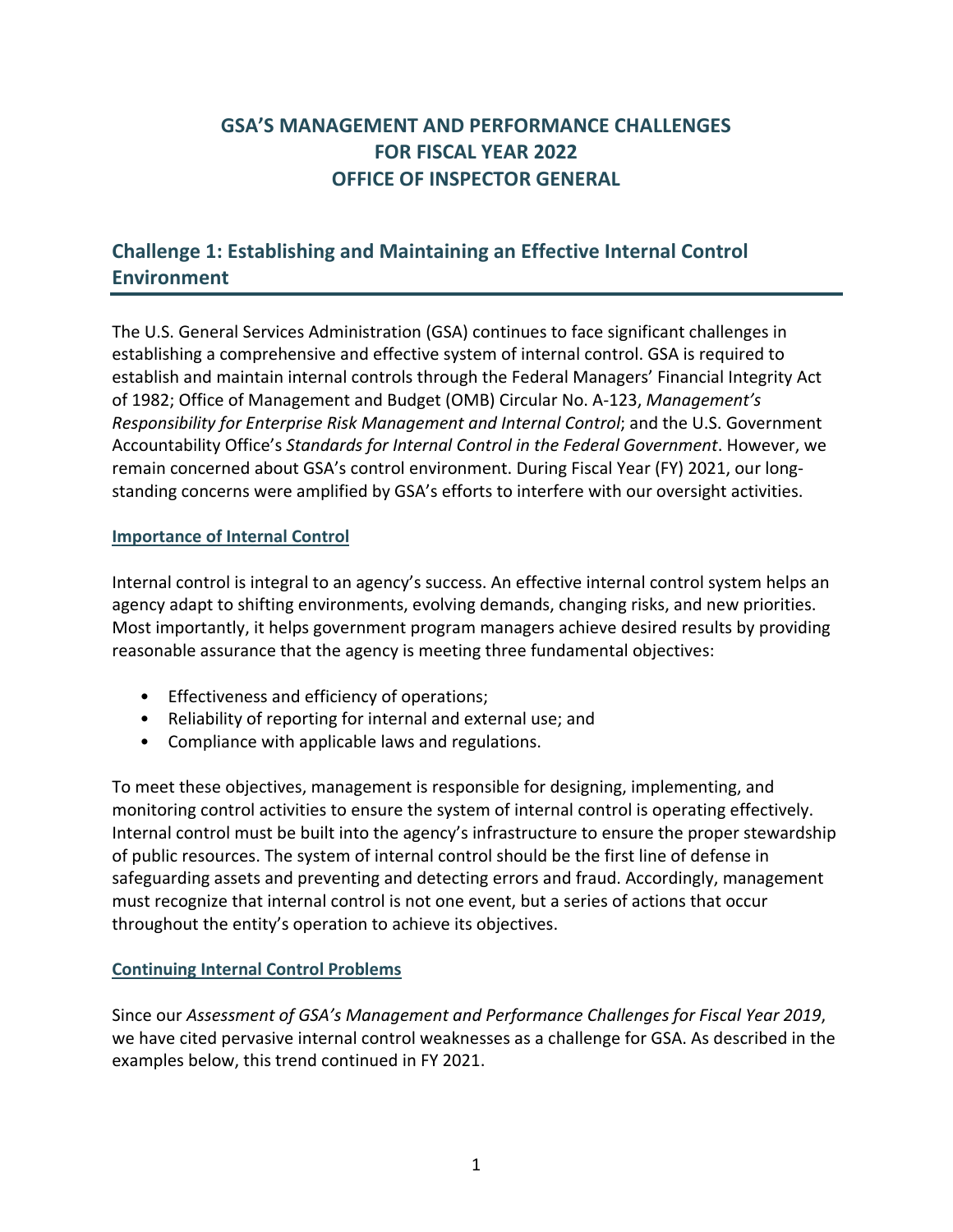# **GSA'S MANAGEMENT AND PERFORMANCE CHALLENGES FOR FISCAL YEAR 2022 OFFICE OF INSPECTOR GENERAL**

# **Challenge 1: Establishing and Maintaining an Effective Internal Control Environment**

The U.S. General Services Administration (GSA) continues to face significant challenges in establishing a comprehensive and effective system of internal control. GSA is required to establish and maintain internal controls through the Federal Managers' Financial Integrity Act of 1982; Office of Management and Budget (OMB) Circular No. A-123, *Management's Responsibility for Enterprise Risk Management and Internal Control*; and the U.S. Government Accountability Office's *Standards for Internal Control in the Federal Government*. However, we remain concerned about GSA's control environment. During Fiscal Year (FY) 2021, our longstanding concerns were amplified by GSA's efforts to interfere with our oversight activities.

#### **Importance of Internal Control**

Internal control is integral to an agency's success. An effective internal control system helps an agency adapt to shifting environments, evolving demands, changing risks, and new priorities. Most importantly, it helps government program managers achieve desired results by providing reasonable assurance that the agency is meeting three fundamental objectives:

- Effectiveness and efficiency of operations;
- Reliability of reporting for internal and external use; and
- Compliance with applicable laws and regulations.

To meet these objectives, management is responsible for designing, implementing, and monitoring control activities to ensure the system of internal control is operating effectively. Internal control must be built into the agency's infrastructure to ensure the proper stewardship of public resources. The system of internal control should be the first line of defense in safeguarding assets and preventing and detecting errors and fraud. Accordingly, management must recognize that internal control is not one event, but a series of actions that occur throughout the entity's operation to achieve its objectives.

#### **Continuing Internal Control Problems**

Since our *Assessment of GSA's Management and Performance Challenges for Fiscal Year 2019*, we have cited pervasive internal control weaknesses as a challenge for GSA. As described in the examples below, this trend continued in FY 2021.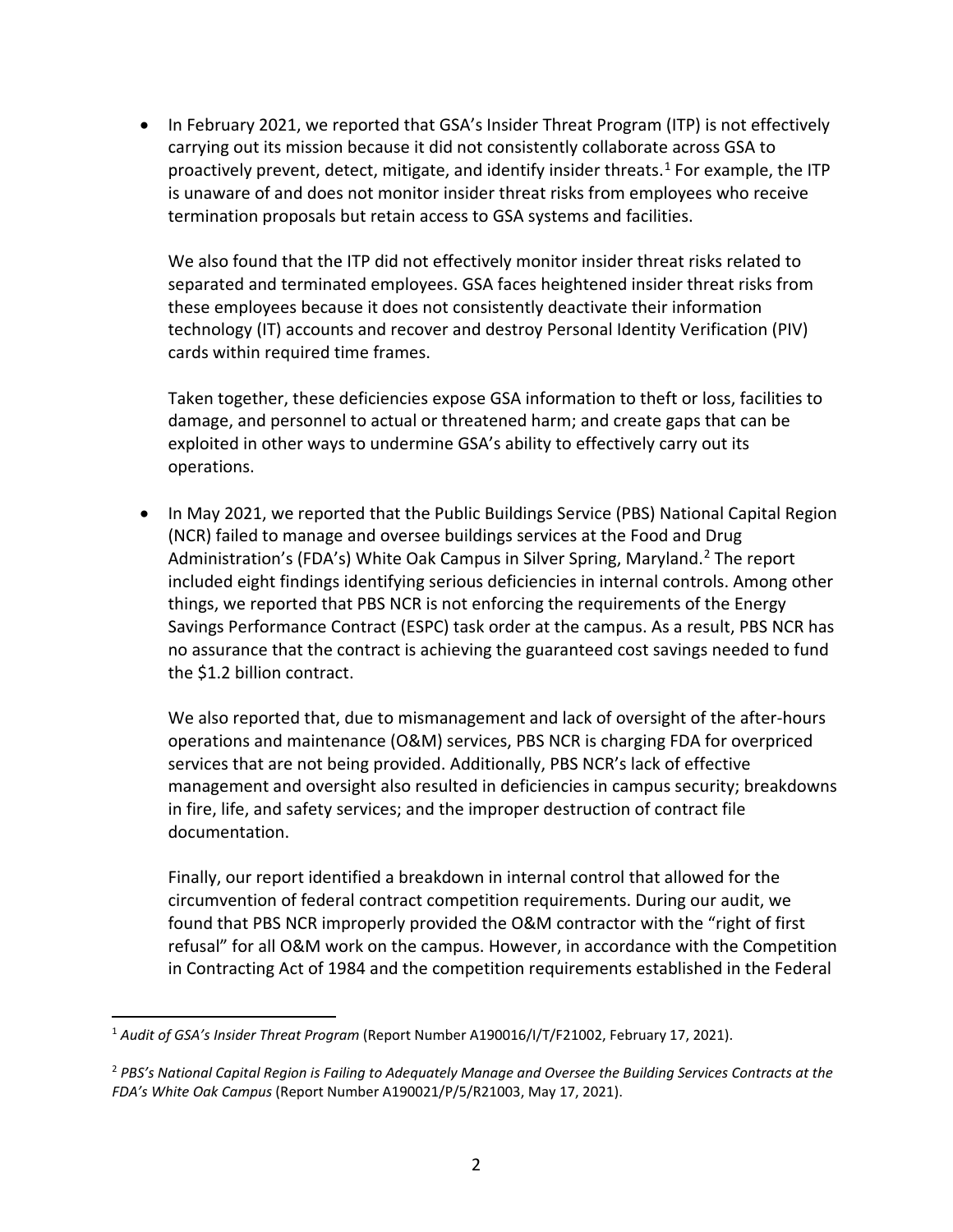is unaware of and does not monitor insider threat risks from employees who receive • In February 2021, we reported that GSA's Insider Threat Program (ITP) is not effectively carrying out its mission because it did not consistently collaborate across GSA to proactively prevent, detect, mitigate, and identify insider threats.<sup>[1](#page-2-0)</sup> For example, the ITP termination proposals but retain access to GSA systems and facilities.

 technology (IT) accounts and recover and destroy Personal Identity Verification (PIV) We also found that the ITP did not effectively monitor insider threat risks related to separated and terminated employees. GSA faces heightened insider threat risks from these employees because it does not consistently deactivate their information cards within required time frames.

Taken together, these deficiencies expose GSA information to theft or loss, facilities to damage, and personnel to actual or threatened harm; and create gaps that can be exploited in other ways to undermine GSA's ability to effectively carry out its operations.

Administration's (FDA's) White Oak Campus in Silver Spring, Maryland.<sup>2</sup> The report • In May 2021, we reported that the Public Buildings Service (PBS) National Capital Region (NCR) failed to manage and oversee buildings services at the Food and Drug included eight findings identifying serious deficiencies in internal controls. Among other things, we reported that PBS NCR is not enforcing the requirements of the Energy Savings Performance Contract (ESPC) task order at the campus. As a result, PBS NCR has no assurance that the contract is achieving the guaranteed cost savings needed to fund the \$1.2 billion contract.

We also reported that, due to mismanagement and lack of oversight of the after-hours operations and maintenance (O&M) services, PBS NCR is charging FDA for overpriced services that are not being provided. Additionally, PBS NCR's lack of effective management and oversight also resulted in deficiencies in campus security; breakdowns in fire, life, and safety services; and the improper destruction of contract file documentation.

 circumvention of federal contract competition requirements. During our audit, we Finally, our report identified a breakdown in internal control that allowed for the found that PBS NCR improperly provided the O&M contractor with the "right of first refusal" for all O&M work on the campus. However, in accordance with the Competition in Contracting Act of 1984 and the competition requirements established in the Federal

l

<span id="page-2-0"></span> <sup>1</sup>*Audit of GSA's Insider Threat Program* (Report Number A190016/I/T/F21002, February 17, 2021).

<span id="page-2-1"></span> <sup>2</sup>*PBS's National Capital Region is Failing to Adequately Manage and Oversee the Building Services Contracts at the FDA's White Oak Campus* (Report Number A190021/P/5/R21003, May 17, 2021).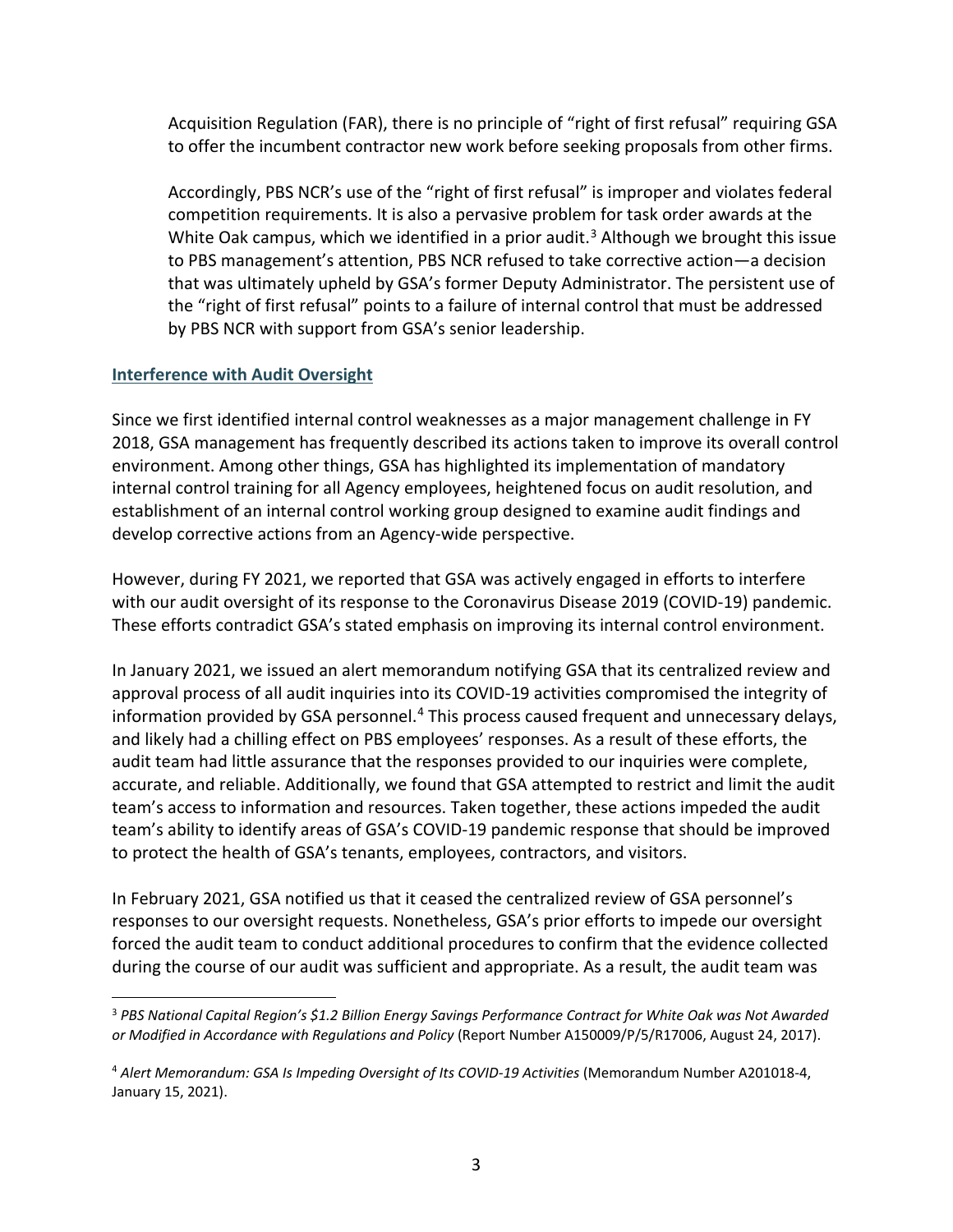Acquisition Regulation (FAR), there is no principle of "right of first refusal" requiring GSA to offer the incumbent contractor new work before seeking proposals from other firms.

White Oak campus, which we identified in a prior audit.<sup>3</sup> Although we brought this issue Accordingly, PBS NCR's use of the "right of first refusal" is improper and violates federal competition requirements. It is also a pervasive problem for task order awards at the to PBS management's attention, PBS NCR refused to take corrective action—a decision that was ultimately upheld by GSA's former Deputy Administrator. The persistent use of the "right of first refusal" points to a failure of internal control that must be addressed by PBS NCR with support from GSA's senior leadership.

#### **Interference with Audit Oversight**

 $\overline{\phantom{a}}$ 

Since we first identified internal control weaknesses as a major management challenge in FY 2018, GSA management has frequently described its actions taken to improve its overall control environment. Among other things, GSA has highlighted its implementation of mandatory internal control training for all Agency employees, heightened focus on audit resolution, and establishment of an internal control working group designed to examine audit findings and develop corrective actions from an Agency-wide perspective.

However, during FY 2021, we reported that GSA was actively engaged in efforts to interfere with our audit oversight of its response to the Coronavirus Disease 2019 (COVID-19) pandemic. These efforts contradict GSA's stated emphasis on improving its internal control environment.

In January 2021, we issued an alert memorandum notifying GSA that its centralized review and approval process of all audit inquiries into its COVID-19 activities compromised the integrity of information provided by GSA personnel.<sup>[4](#page-3-1)</sup> This process caused frequent and unnecessary delays, and likely had a chilling effect on PBS employees' responses. As a result of these efforts, the audit team had little assurance that the responses provided to our inquiries were complete, accurate, and reliable. Additionally, we found that GSA attempted to restrict and limit the audit team's access to information and resources. Taken together, these actions impeded the audit team's ability to identify areas of GSA's COVID-19 pandemic response that should be improved to protect the health of GSA's tenants, employees, contractors, and visitors.

In February 2021, GSA notified us that it ceased the centralized review of GSA personnel's responses to our oversight requests. Nonetheless, GSA's prior efforts to impede our oversight forced the audit team to conduct additional procedures to confirm that the evidence collected during the course of our audit was sufficient and appropriate. As a result, the audit team was

<span id="page-3-0"></span> <sup>3</sup>*PBS National Capital Region's \$1.2 Billion Energy Savings Performance Contract for White Oak was Not Awarded or Modified in Accordance with Regulations and Policy* (Report Number A150009/P/5/R17006, August 24, 2017).

<span id="page-3-1"></span> <sup>4</sup>*Alert Memorandum: GSA Is Impeding Oversight of Its COVID-19 Activities* (Memorandum Number A201018-4, January 15, 2021).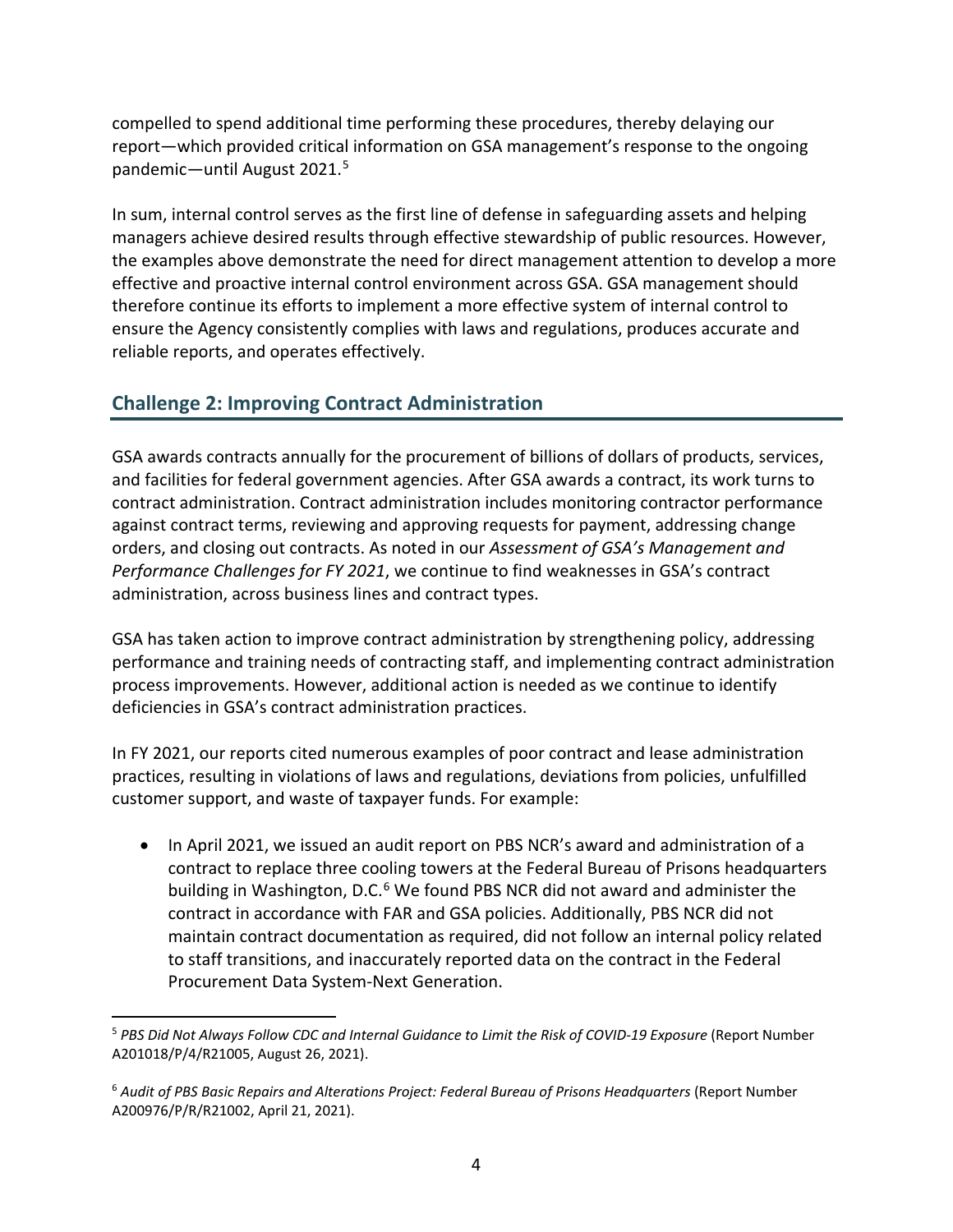compelled to spend additional time performing these procedures, thereby delaying our report—which provided critical information on GSA management's response to the ongoing pandemic—until August 2021.[5](#page-4-0)

 effective and proactive internal control environment across GSA. GSA management should ensure the Agency consistently complies with laws and regulations, produces accurate and In sum, internal control serves as the first line of defense in safeguarding assets and helping managers achieve desired results through effective stewardship of public resources. However, the examples above demonstrate the need for direct management attention to develop a more therefore continue its efforts to implement a more effective system of internal control to reliable reports, and operates effectively.

# **Challenge 2: Improving Contract Administration**

GSA awards contracts annually for the procurement of billions of dollars of products, services, and facilities for federal government agencies. After GSA awards a contract, its work turns to contract administration. Contract administration includes monitoring contractor performance against contract terms, reviewing and approving requests for payment, addressing change orders, and closing out contracts. As noted in our *Assessment of GSA's Management and Performance Challenges for FY 2021*, we continue to find weaknesses in GSA's contract administration, across business lines and contract types.

GSA has taken action to improve contract administration by strengthening policy, addressing performance and training needs of contracting staff, and implementing contract administration process improvements. However, additional action is needed as we continue to identify deficiencies in GSA's contract administration practices.

In FY 2021, our reports cited numerous examples of poor contract and lease administration practices, resulting in violations of laws and regulations, deviations from policies, unfulfilled customer support, and waste of taxpayer funds. For example:

building in Washington, D.C.<sup>6</sup> We found PBS NCR did not award and administer the contract in accordance with FAR and GSA policies. Additionally, PBS NCR did not • In April 2021, we issued an audit report on PBS NCR's award and administration of a contract to replace three cooling towers at the Federal Bureau of Prisons headquarters maintain contract documentation as required, did not follow an internal policy related to staff transitions, and inaccurately reported data on the contract in the Federal Procurement Data System-Next Generation.

<span id="page-4-0"></span>l <sup>5</sup> PBS Did Not Always Follow CDC and Internal Guidance to Limit the Risk of COVID-19 Exposure (Report Number A201018/P/4/R21005, August 26, 2021).

<span id="page-4-1"></span><sup>&</sup>lt;sup>6</sup> Audit of PBS Basic Repairs and Alterations Project: Federal Bureau of Prisons Headquarters (Report Number A200976/P/R/R21002, April 21, 2021).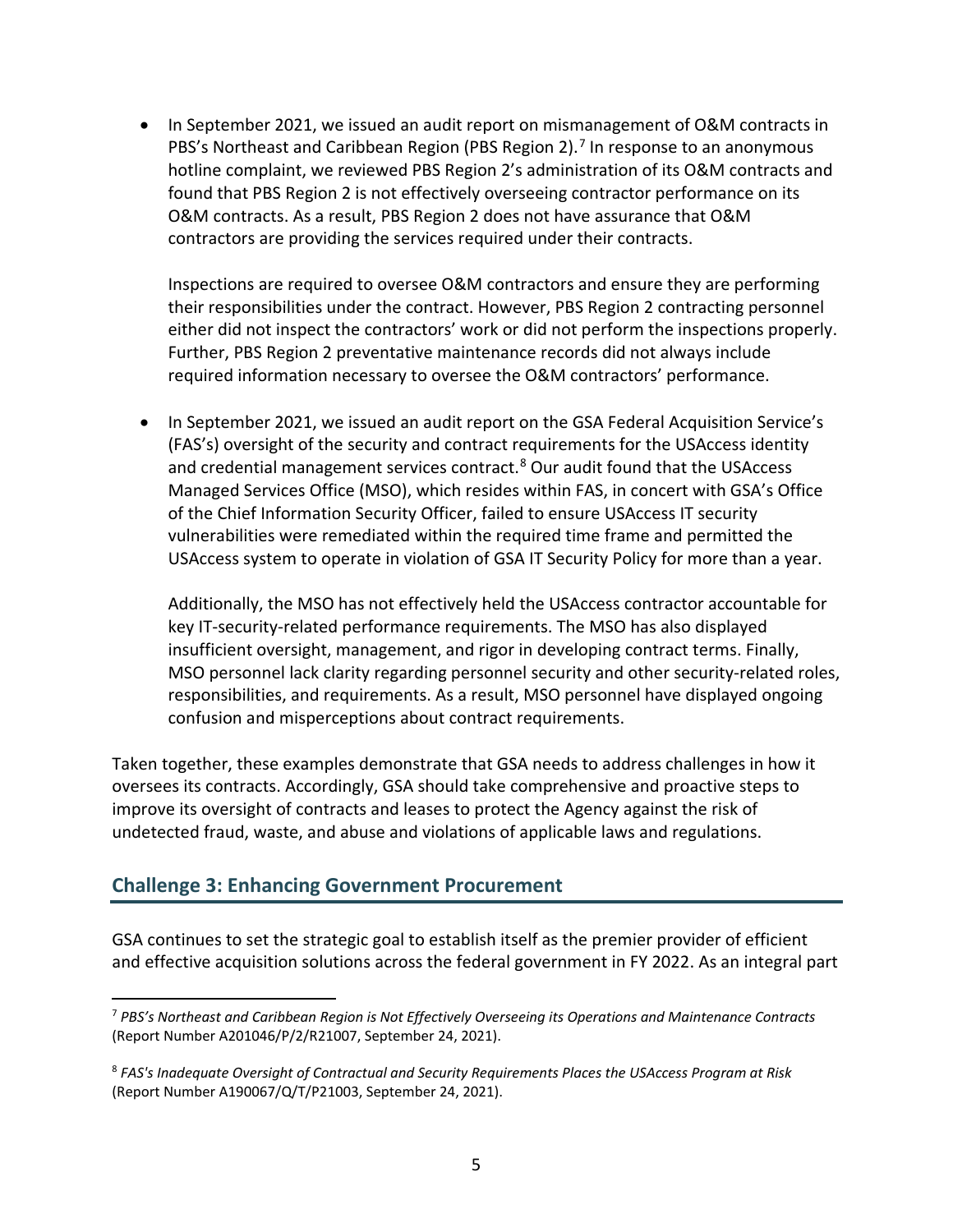In September 2021, we issued an audit report on mismanagement of O&M contracts in PBS's Northeast and Caribbean Region (PBS Region 2).<sup>[7](#page-5-0)</sup> In response to an anonymous hotline complaint, we reviewed PBS Region 2's administration of its O&M contracts and found that PBS Region 2 is not effectively overseeing contractor performance on its O&M contracts. As a result, PBS Region 2 does not have assurance that O&M contractors are providing the services required under their contracts.

Inspections are required to oversee O&M contractors and ensure they are performing their responsibilities under the contract. However, PBS Region 2 contracting personnel either did not inspect the contractors' work or did not perform the inspections properly. Further, PBS Region 2 preventative maintenance records did not always include required information necessary to oversee the O&M contractors' performance.

 • In September 2021, we issued an audit report on the GSA Federal Acquisition Service's vulnerabilities were remediated within the required time frame and permitted the (FAS's) oversight of the security and contract requirements for the USAccess identity and credential management services contract.<sup>[8](#page-5-1)</sup> Our audit found that the USAccess Managed Services Office (MSO), which resides within FAS, in concert with GSA's Office of the Chief Information Security Officer, failed to ensure USAccess IT security USAccess system to operate in violation of GSA IT Security Policy for more than a year.

Additionally, the MSO has not effectively held the USAccess contractor accountable for key IT-security-related performance requirements. The MSO has also displayed insufficient oversight, management, and rigor in developing contract terms. Finally, MSO personnel lack clarity regarding personnel security and other security-related roles, responsibilities, and requirements. As a result, MSO personnel have displayed ongoing confusion and misperceptions about contract requirements.

Taken together, these examples demonstrate that GSA needs to address challenges in how it oversees its contracts. Accordingly, GSA should take comprehensive and proactive steps to improve its oversight of contracts and leases to protect the Agency against the risk of undetected fraud, waste, and abuse and violations of applicable laws and regulations.

# **Challenge 3: Enhancing Government Procurement**

GSA continues to set the strategic goal to establish itself as the premier provider of efficient and effective acquisition solutions across the federal government in FY 2022. As an integral part

<span id="page-5-0"></span> $\overline{\phantom{a}}$  <sup>7</sup>*PBS's Northeast and Caribbean Region is Not Effectively Overseeing its Operations and Maintenance Contracts*  (Report Number A201046/P/2/R21007, September 24, 2021).

<span id="page-5-1"></span> <sup>8</sup>*FAS's Inadequate Oversight of Contractual and Security Requirements Places the USAccess Program at Risk*  (Report Number A190067/Q/T/P21003, September 24, 2021).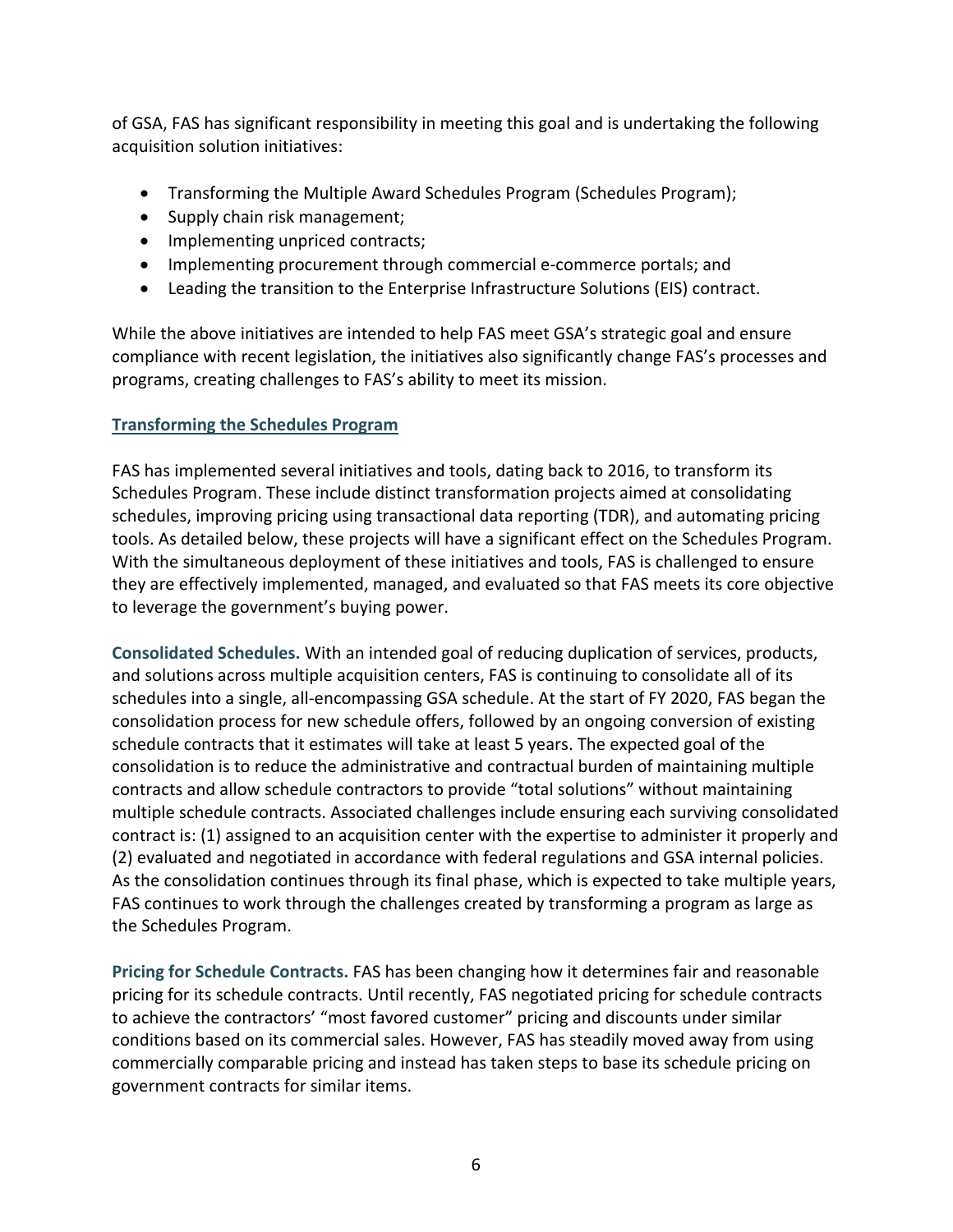of GSA, FAS has significant responsibility in meeting this goal and is undertaking the following acquisition solution initiatives:

- Transforming the Multiple Award Schedules Program (Schedules Program);
- Supply chain risk management;
- Implementing unpriced contracts;
- Implementing procurement through commercial e-commerce portals; and
- Leading the transition to the Enterprise Infrastructure Solutions (EIS) contract.

While the above initiatives are intended to help FAS meet GSA's strategic goal and ensure compliance with recent legislation, the initiatives also significantly change FAS's processes and programs, creating challenges to FAS's ability to meet its mission.

## **Transforming the Schedules Program**

FAS has implemented several initiatives and tools, dating back to 2016, to transform its Schedules Program. These include distinct transformation projects aimed at consolidating schedules, improving pricing using transactional data reporting (TDR), and automating pricing tools. As detailed below, these projects will have a significant effect on the Schedules Program. With the simultaneous deployment of these initiatives and tools, FAS is challenged to ensure they are effectively implemented, managed, and evaluated so that FAS meets its core objective to leverage the government's buying power.

**Consolidated Schedules.** With an intended goal of reducing duplication of services, products, and solutions across multiple acquisition centers, FAS is continuing to consolidate all of its schedules into a single, all-encompassing GSA schedule. At the start of FY 2020, FAS began the consolidation process for new schedule offers, followed by an ongoing conversion of existing schedule contracts that it estimates will take at least 5 years. The expected goal of the consolidation is to reduce the administrative and contractual burden of maintaining multiple contracts and allow schedule contractors to provide "total solutions" without maintaining multiple schedule contracts. Associated challenges include ensuring each surviving consolidated contract is: (1) assigned to an acquisition center with the expertise to administer it properly and (2) evaluated and negotiated in accordance with federal regulations and GSA internal policies. As the consolidation continues through its final phase, which is expected to take multiple years, FAS continues to work through the challenges created by transforming a program as large as the Schedules Program.

**Pricing for Schedule Contracts.** FAS has been changing how it determines fair and reasonable pricing for its schedule contracts. Until recently, FAS negotiated pricing for schedule contracts to achieve the contractors' "most favored customer" pricing and discounts under similar conditions based on its commercial sales. However, FAS has steadily moved away from using commercially comparable pricing and instead has taken steps to base its schedule pricing on government contracts for similar items.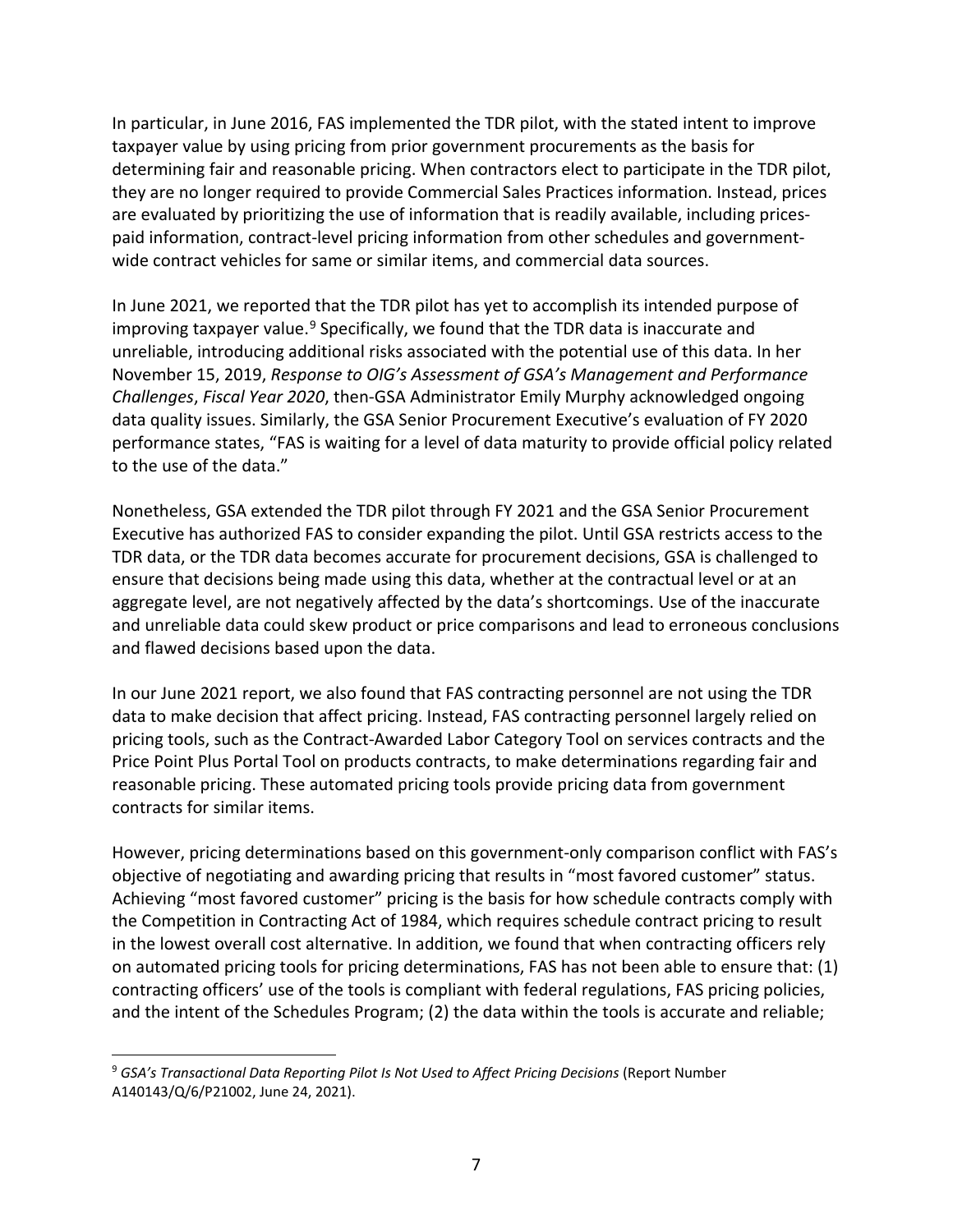In particular, in June 2016, FAS implemented the TDR pilot, with the stated intent to improve taxpayer value by using pricing from prior government procurements as the basis for determining fair and reasonable pricing. When contractors elect to participate in the TDR pilot, they are no longer required to provide Commercial Sales Practices information. Instead, prices are evaluated by prioritizing the use of information that is readily available, including pricespaid information, contract-level pricing information from other schedules and governmentwide contract vehicles for same or similar items, and commercial data sources.

 unreliable, introducing additional risks associated with the potential use of this data. In her In June 2021, we reported that the TDR pilot has yet to accomplish its intended purpose of improving taxpayer value. $9$  Specifically, we found that the TDR data is inaccurate and November 15, 2019, *Response to OIG's Assessment of GSA's Management and Performance Challenges*, *Fiscal Year 2020*, then-GSA Administrator Emily Murphy acknowledged ongoing data quality issues. Similarly, the GSA Senior Procurement Executive's evaluation of FY 2020 performance states, "FAS is waiting for a level of data maturity to provide official policy related to the use of the data."

Nonetheless, GSA extended the TDR pilot through FY 2021 and the GSA Senior Procurement Executive has authorized FAS to consider expanding the pilot. Until GSA restricts access to the TDR data, or the TDR data becomes accurate for procurement decisions, GSA is challenged to ensure that decisions being made using this data, whether at the contractual level or at an aggregate level, are not negatively affected by the data's shortcomings. Use of the inaccurate and unreliable data could skew product or price comparisons and lead to erroneous conclusions and flawed decisions based upon the data.

 In our June 2021 report, we also found that FAS contracting personnel are not using the TDR pricing tools, such as the Contract-Awarded Labor Category Tool on services contracts and the data to make decision that affect pricing. Instead, FAS contracting personnel largely relied on Price Point Plus Portal Tool on products contracts, to make determinations regarding fair and reasonable pricing. These automated pricing tools provide pricing data from government contracts for similar items.

 However, pricing determinations based on this government-only comparison conflict with FAS's objective of negotiating and awarding pricing that results in "most favored customer" status. Achieving "most favored customer" pricing is the basis for how schedule contracts comply with the Competition in Contracting Act of 1984, which requires schedule contract pricing to result in the lowest overall cost alternative. In addition, we found that when contracting officers rely on automated pricing tools for pricing determinations, FAS has not been able to ensure that: (1) contracting officers' use of the tools is compliant with federal regulations, FAS pricing policies, and the intent of the Schedules Program; (2) the data within the tools is accurate and reliable;

 $\overline{\phantom{a}}$ 

<span id="page-7-0"></span><sup>&</sup>lt;sup>9</sup> GSA's Transactional Data Reporting Pilot Is Not Used to Affect Pricing Decisions (Report Number A140143/Q/6/P21002, June 24, 2021).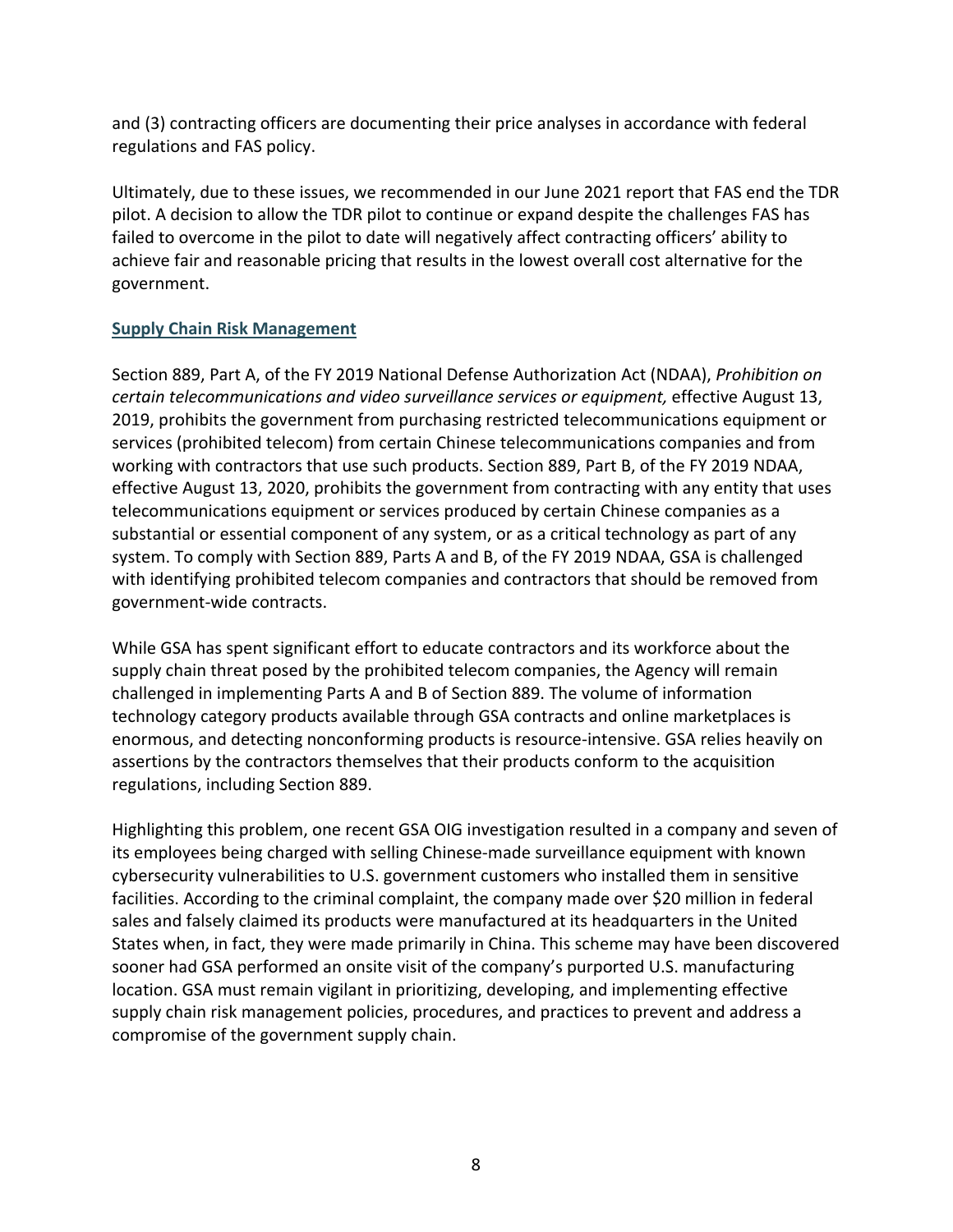and (3) contracting officers are documenting their price analyses in accordance with federal regulations and FAS policy.

Ultimately, due to these issues, we recommended in our June 2021 report that FAS end the TDR pilot. A decision to allow the TDR pilot to continue or expand despite the challenges FAS has failed to overcome in the pilot to date will negatively affect contracting officers' ability to achieve fair and reasonable pricing that results in the lowest overall cost alternative for the government.

## **Supply Chain Risk Management**

 *certain telecommunications and video surveillance services or equipment,* effective August 13, working with contractors that use such products. Section 889, Part B, of the FY 2019 NDAA, system. To comply with Section 889, Parts A and B, of the FY 2019 NDAA, GSA is challenged Section 889, Part A, of the FY 2019 National Defense Authorization Act (NDAA), *Prohibition on*  2019, prohibits the government from purchasing restricted telecommunications equipment or services (prohibited telecom) from certain Chinese telecommunications companies and from effective August 13, 2020, prohibits the government from contracting with any entity that uses telecommunications equipment or services produced by certain Chinese companies as a substantial or essential component of any system, or as a critical technology as part of any with identifying prohibited telecom companies and contractors that should be removed from government-wide contracts.

While GSA has spent significant effort to educate contractors and its workforce about the supply chain threat posed by the prohibited telecom companies, the Agency will remain challenged in implementing Parts A and B of Section 889. The volume of information technology category products available through GSA contracts and online marketplaces is enormous, and detecting nonconforming products is resource-intensive. GSA relies heavily on assertions by the contractors themselves that their products conform to the acquisition regulations, including Section 889.

Highlighting this problem, one recent GSA OIG investigation resulted in a company and seven of its employees being charged with selling Chinese-made surveillance equipment with known cybersecurity vulnerabilities to U.S. government customers who installed them in sensitive facilities. According to the criminal complaint, the company made over \$20 million in federal sales and falsely claimed its products were manufactured at its headquarters in the United States when, in fact, they were made primarily in China. This scheme may have been discovered sooner had GSA performed an onsite visit of the company's purported U.S. manufacturing location. GSA must remain vigilant in prioritizing, developing, and implementing effective supply chain risk management policies, procedures, and practices to prevent and address a compromise of the government supply chain.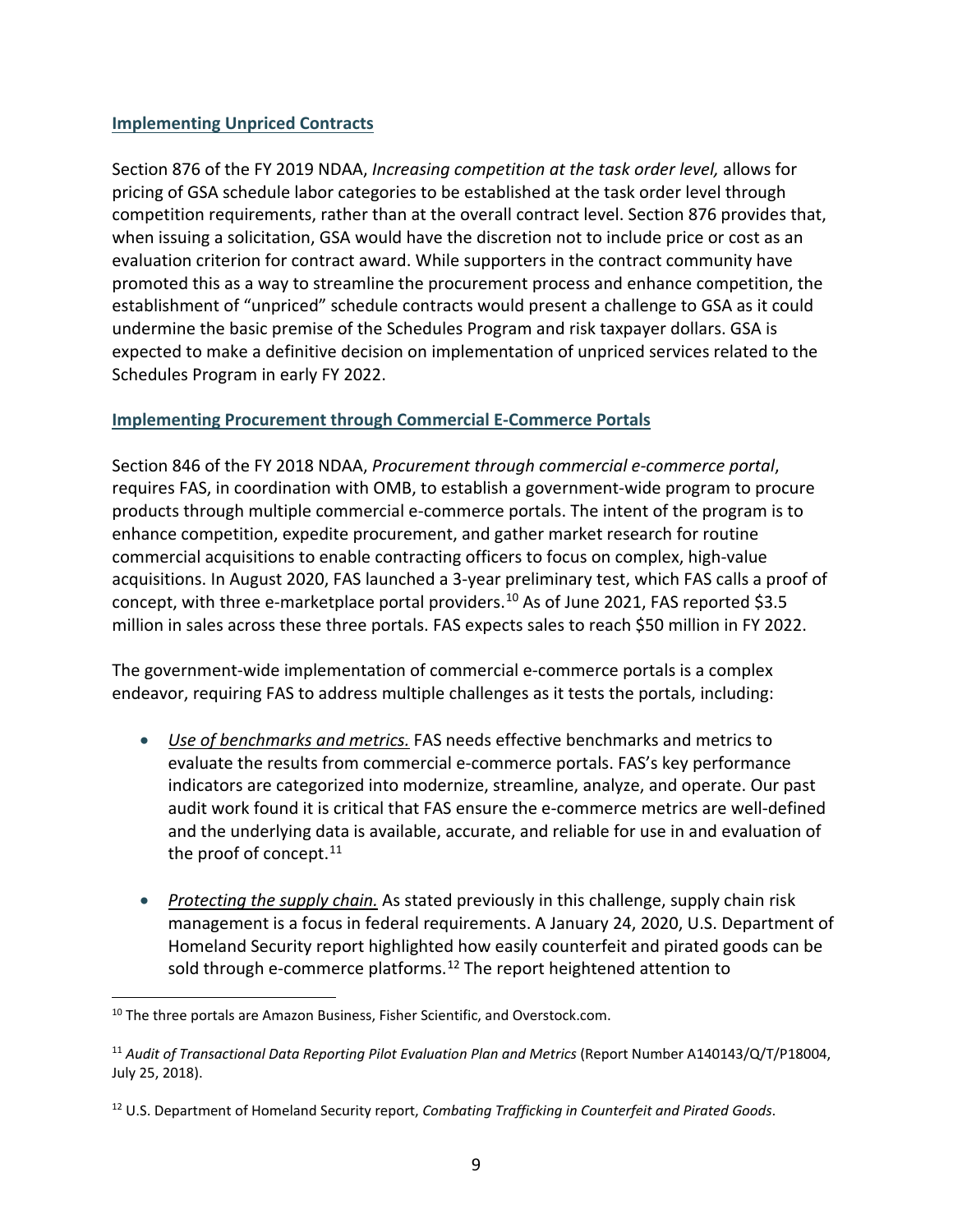#### **Implementing Unpriced Contracts**

 evaluation criterion for contract award. While supporters in the contract community have promoted this as a way to streamline the procurement process and enhance competition, the Section 876 of the FY 2019 NDAA, *Increasing competition at the task order level,* allows for pricing of GSA schedule labor categories to be established at the task order level through competition requirements, rather than at the overall contract level. Section 876 provides that, when issuing a solicitation, GSA would have the discretion not to include price or cost as an establishment of "unpriced" schedule contracts would present a challenge to GSA as it could undermine the basic premise of the Schedules Program and risk taxpayer dollars. GSA is expected to make a definitive decision on implementation of unpriced services related to the Schedules Program in early FY 2022.

#### **Implementing Procurement through Commercial E-Commerce Portals**

 acquisitions. In August 2020, FAS launched a 3-year preliminary test, which FAS calls a proof of Section 846 of the FY 2018 NDAA, *Procurement through commercial e-commerce portal*, requires FAS, in coordination with OMB, to establish a government-wide program to procure products through multiple commercial e-commerce portals. The intent of the program is to enhance competition, expedite procurement, and gather market research for routine commercial acquisitions to enable contracting officers to focus on complex, high-value concept, with three e-marketplace portal providers.<sup>[10](#page-9-0)</sup> As of June 2021, FAS reported \$3.5 million in sales across these three portals. FAS expects sales to reach \$50 million in FY 2022.

The government-wide implementation of commercial e-commerce portals is a complex endeavor, requiring FAS to address multiple challenges as it tests the portals, including:

- • *Use of benchmarks and metrics.* FAS needs effective benchmarks and metrics to the proof of concept.<sup>11</sup> evaluate the results from commercial e-commerce portals. FAS's key performance indicators are categorized into modernize, streamline, analyze, and operate. Our past audit work found it is critical that FAS ensure the e-commerce metrics are well-defined and the underlying data is available, accurate, and reliable for use in and evaluation of
- *Protecting the supply chain.* As stated previously in this challenge, supply chain risk management is a focus in federal requirements. A January 24, 2020, U.S. Department of Homeland Security report highlighted how easily counterfeit and pirated goods can be sold through e-commerce platforms.<sup>12</sup> The report heightened attention to

 $\overline{\phantom{a}}$ 

<span id="page-9-0"></span> $^{10}$  The three portals are Amazon Business, Fisher Scientific, and Overstock.com.

<span id="page-9-1"></span><sup>&</sup>lt;sup>11</sup> Audit of Transactional Data Reporting Pilot Evaluation Plan and Metrics (Report Number A140143/Q/T/P18004, July 25, 2018).

<span id="page-9-2"></span> 12 U.S. Department of Homeland Security report, *Combating Trafficking in Counterfeit and Pirated Goods*.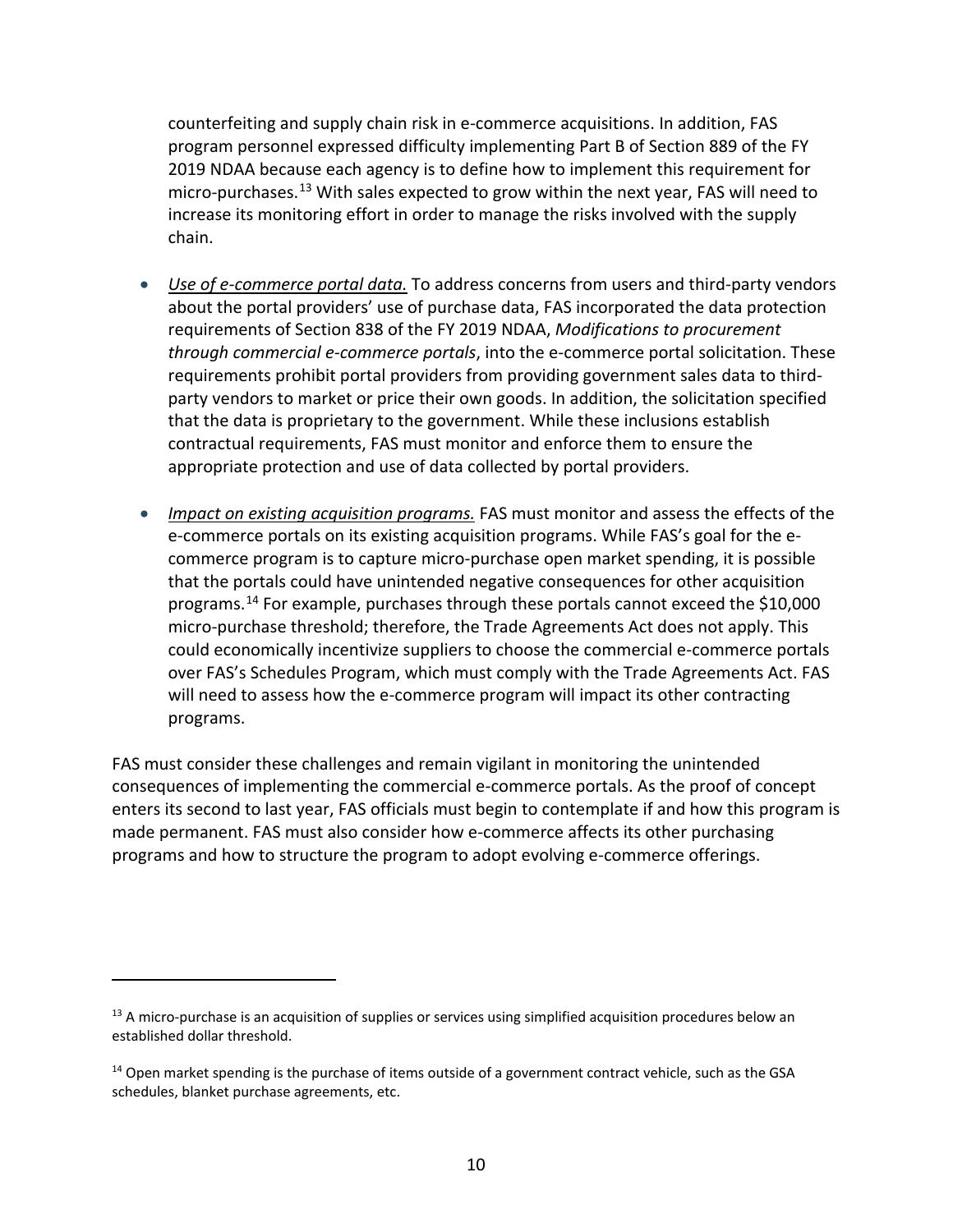chain. counterfeiting and supply chain risk in e-commerce acquisitions. In addition, FAS program personnel expressed difficulty implementing Part B of Section 889 of the FY 2019 NDAA because each agency is to define how to implement this requirement for micro-purchases.<sup>[13](#page-10-0)</sup> With sales expected to grow within the next year, FAS will need to increase its monitoring effort in order to manage the risks involved with the supply

- *Use of e-commerce portal data.* To address concerns from users and third-party vendors about the portal providers' use of purchase data, FAS incorporated the data protection requirements of Section 838 of the FY 2019 NDAA, *Modifications to procurement through commercial e-commerce portals*, into the e-commerce portal solicitation. These requirements prohibit portal providers from providing government sales data to thirdparty vendors to market or price their own goods. In addition, the solicitation specified that the data is proprietary to the government. While these inclusions establish contractual requirements, FAS must monitor and enforce them to ensure the appropriate protection and use of data collected by portal providers.
- e-commerce portals on its existing acquisition programs. While FAS's goal for the e-• *Impact on existing acquisition programs.* FAS must monitor and assess the effects of the commerce program is to capture micro-purchase open market spending, it is possible that the portals could have unintended negative consequences for other acquisition programs.[14](#page-10-1) For example, purchases through these portals cannot exceed the \$10,000 micro-purchase threshold; therefore, the Trade Agreements Act does not apply. This could economically incentivize suppliers to choose the commercial e-commerce portals over FAS's Schedules Program, which must comply with the Trade Agreements Act. FAS will need to assess how the e-commerce program will impact its other contracting programs.

 enters its second to last year, FAS officials must begin to contemplate if and how this program is FAS must consider these challenges and remain vigilant in monitoring the unintended consequences of implementing the commercial e-commerce portals. As the proof of concept made permanent. FAS must also consider how e-commerce affects its other purchasing programs and how to structure the program to adopt evolving e-commerce offerings.

l

<span id="page-10-0"></span><sup>&</sup>lt;sup>13</sup> A micro-purchase is an acquisition of supplies or services using simplified acquisition procedures below an established dollar threshold.

<span id="page-10-1"></span> $14$  Open market spending is the purchase of items outside of a government contract vehicle, such as the GSA schedules, blanket purchase agreements, etc.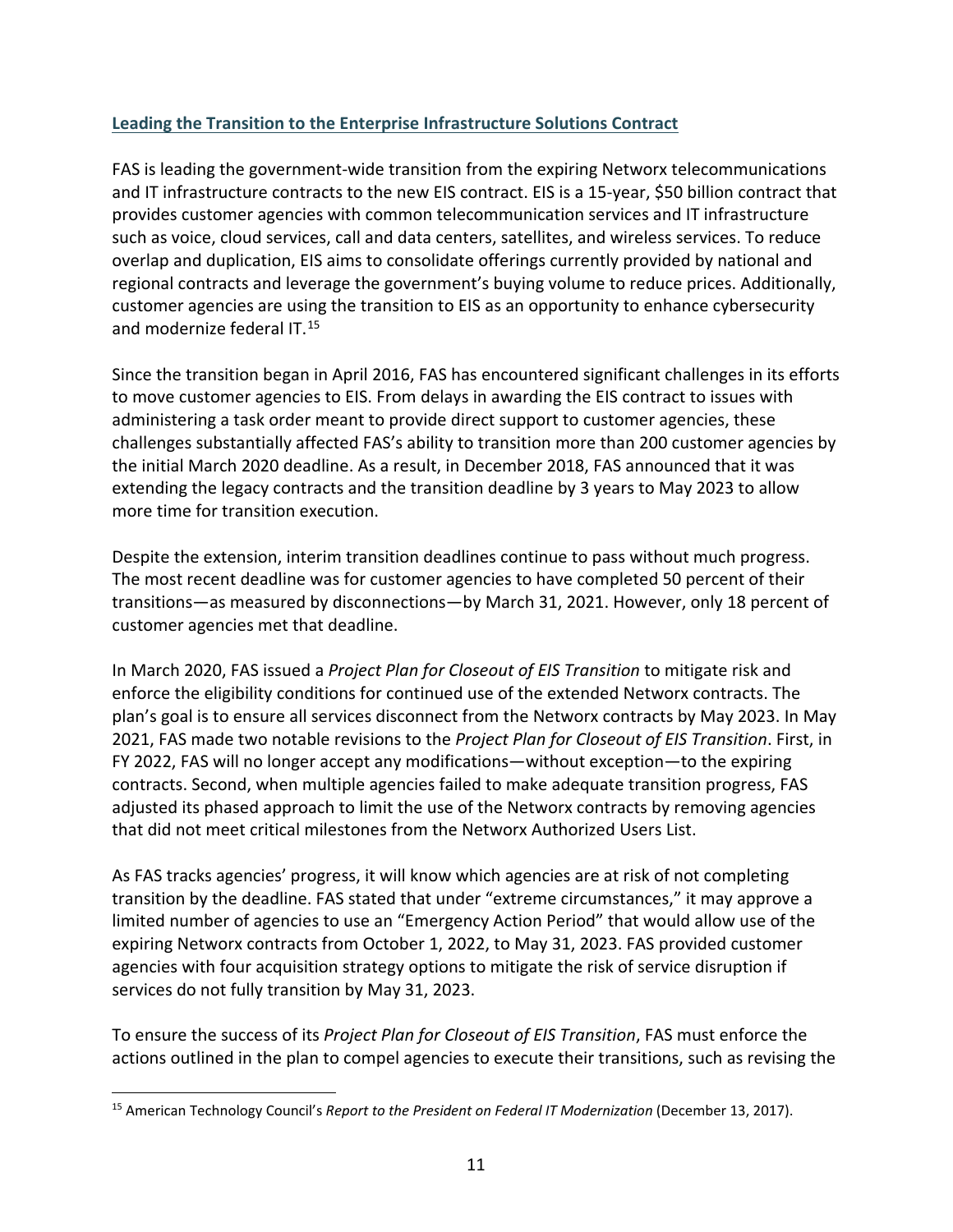# **Leading the Transition to the Enterprise Infrastructure Solutions Contract**

and modernize federal IT.<sup>15</sup> FAS is leading the government-wide transition from the expiring Networx telecommunications and IT infrastructure contracts to the new EIS contract. EIS is a 15-year, \$50 billion contract that provides customer agencies with common telecommunication services and IT infrastructure such as voice, cloud services, call and data centers, satellites, and wireless services. To reduce overlap and duplication, EIS aims to consolidate offerings currently provided by national and regional contracts and leverage the government's buying volume to reduce prices. Additionally, customer agencies are using the transition to EIS as an opportunity to enhance cybersecurity

Since the transition began in April 2016, FAS has encountered significant challenges in its efforts to move customer agencies to EIS. From delays in awarding the EIS contract to issues with administering a task order meant to provide direct support to customer agencies, these challenges substantially affected FAS's ability to transition more than 200 customer agencies by the initial March 2020 deadline. As a result, in December 2018, FAS announced that it was extending the legacy contracts and the transition deadline by 3 years to May 2023 to allow more time for transition execution.

Despite the extension, interim transition deadlines continue to pass without much progress. The most recent deadline was for customer agencies to have completed 50 percent of their transitions—as measured by disconnections—by March 31, 2021. However, only 18 percent of customer agencies met that deadline.

 enforce the eligibility conditions for continued use of the extended Networx contracts. The In March 2020, FAS issued a *Project Plan for Closeout of EIS Transition* to mitigate risk and plan's goal is to ensure all services disconnect from the Networx contracts by May 2023. In May 2021, FAS made two notable revisions to the *Project Plan for Closeout of EIS Transition*. First, in FY 2022, FAS will no longer accept any modifications—without exception—to the expiring contracts. Second, when multiple agencies failed to make adequate transition progress, FAS adjusted its phased approach to limit the use of the Networx contracts by removing agencies that did not meet critical milestones from the Networx Authorized Users List.

As FAS tracks agencies' progress, it will know which agencies are at risk of not completing transition by the deadline. FAS stated that under "extreme circumstances," it may approve a limited number of agencies to use an "Emergency Action Period" that would allow use of the expiring Networx contracts from October 1, 2022, to May 31, 2023. FAS provided customer agencies with four acquisition strategy options to mitigate the risk of service disruption if services do not fully transition by May 31, 2023.

To ensure the success of its *Project Plan for Closeout of EIS Transition*, FAS must enforce the actions outlined in the plan to compel agencies to execute their transitions, such as revising the

<span id="page-11-0"></span> $\overline{\phantom{a}}$ <sup>15</sup> American Technology Council's *Report to the President on Federal IT Modernization* (December 13, 2017).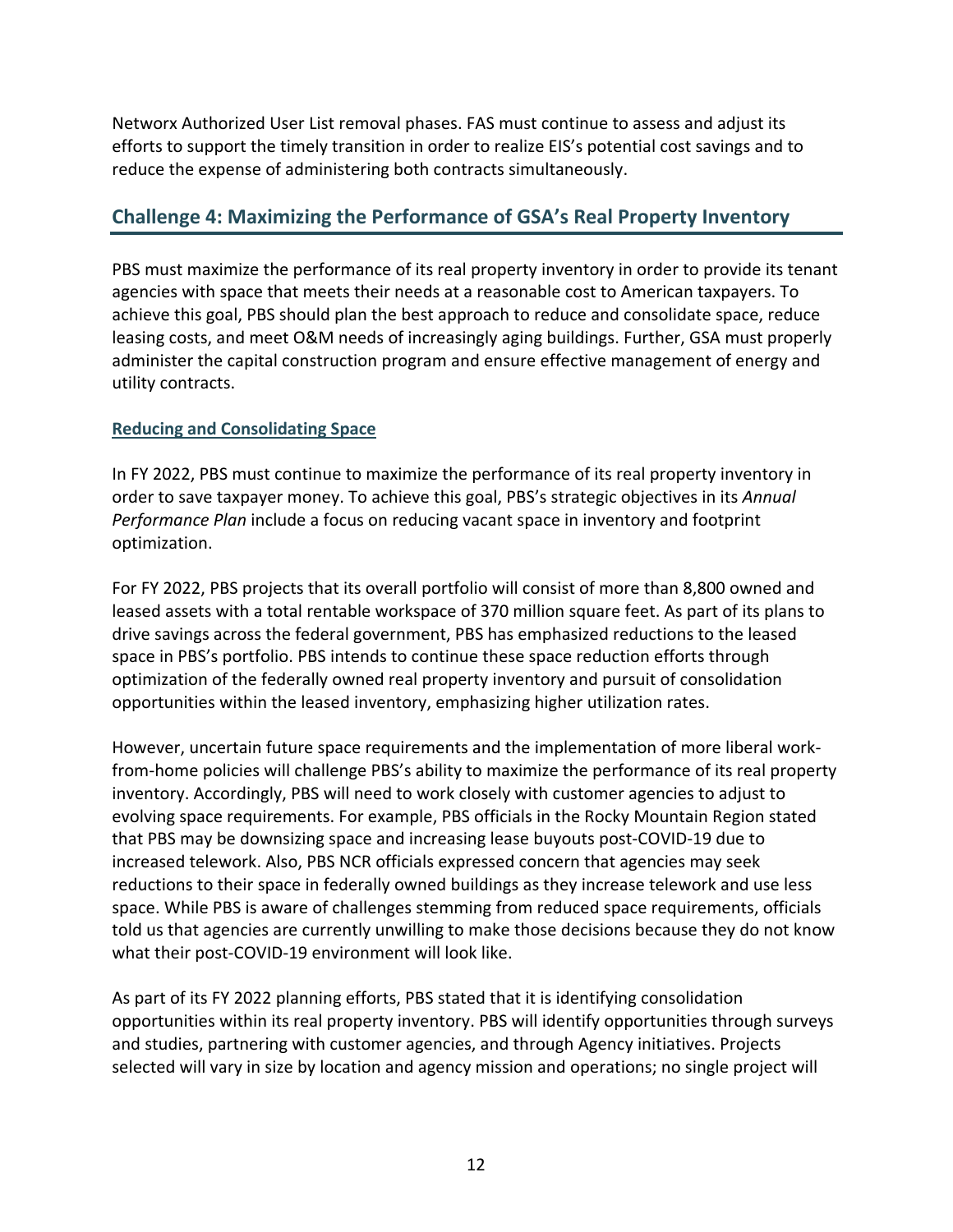efforts to support the timely transition in order to realize EIS's potential cost savings and to Networx Authorized User List removal phases. FAS must continue to assess and adjust its reduce the expense of administering both contracts simultaneously.

# **Challenge 4: Maximizing the Performance of GSA's Real Property Inventory**

PBS must maximize the performance of its real property inventory in order to provide its tenant agencies with space that meets their needs at a reasonable cost to American taxpayers. To achieve this goal, PBS should plan the best approach to reduce and consolidate space, reduce leasing costs, and meet O&M needs of increasingly aging buildings. Further, GSA must properly administer the capital construction program and ensure effective management of energy and utility contracts.

## **Reducing and Consolidating Space**

 In FY 2022, PBS must continue to maximize the performance of its real property inventory in *Performance Plan* include a focus on reducing vacant space in inventory and footprint order to save taxpayer money. To achieve this goal, PBS's strategic objectives in its *Annual*  optimization.

 leased assets with a total rentable workspace of 370 million square feet. As part of its plans to drive savings across the federal government, PBS has emphasized reductions to the leased For FY 2022, PBS projects that its overall portfolio will consist of more than 8,800 owned and space in PBS's portfolio. PBS intends to continue these space reduction efforts through optimization of the federally owned real property inventory and pursuit of consolidation opportunities within the leased inventory, emphasizing higher utilization rates.

 space. While PBS is aware of challenges stemming from reduced space requirements, officials However, uncertain future space requirements and the implementation of more liberal workfrom-home policies will challenge PBS's ability to maximize the performance of its real property inventory. Accordingly, PBS will need to work closely with customer agencies to adjust to evolving space requirements. For example, PBS officials in the Rocky Mountain Region stated that PBS may be downsizing space and increasing lease buyouts post-COVID-19 due to increased telework. Also, PBS NCR officials expressed concern that agencies may seek reductions to their space in federally owned buildings as they increase telework and use less told us that agencies are currently unwilling to make those decisions because they do not know what their post-COVID-19 environment will look like.

As part of its FY 2022 planning efforts, PBS stated that it is identifying consolidation opportunities within its real property inventory. PBS will identify opportunities through surveys and studies, partnering with customer agencies, and through Agency initiatives. Projects selected will vary in size by location and agency mission and operations; no single project will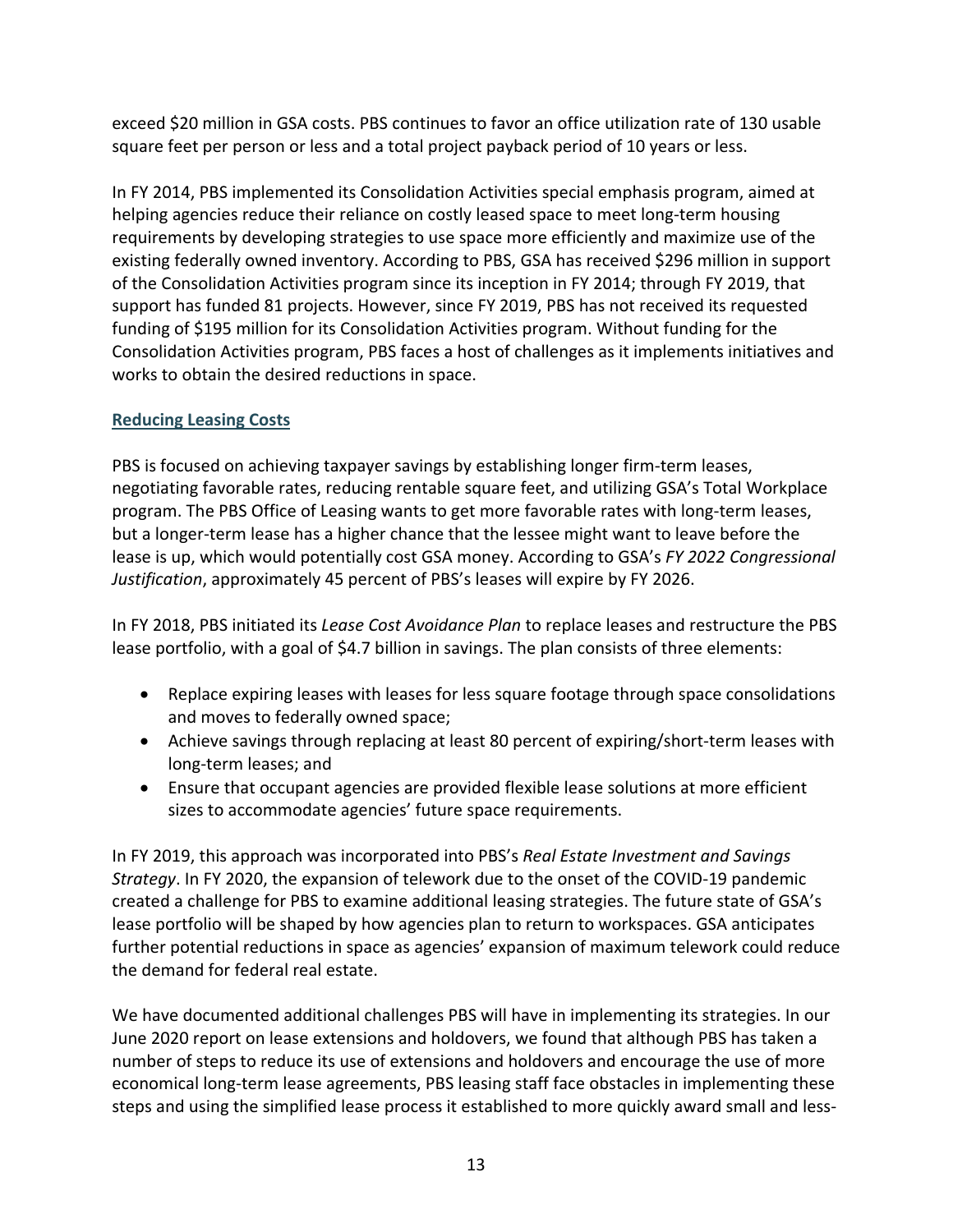exceed \$20 million in GSA costs. PBS continues to favor an office utilization rate of 130 usable square feet per person or less and a total project payback period of 10 years or less.

 In FY 2014, PBS implemented its Consolidation Activities special emphasis program, aimed at helping agencies reduce their reliance on costly leased space to meet long-term housing requirements by developing strategies to use space more efficiently and maximize use of the existing federally owned inventory. According to PBS, GSA has received \$296 million in support of the Consolidation Activities program since its inception in FY 2014; through FY 2019, that support has funded 81 projects. However, since FY 2019, PBS has not received its requested funding of \$195 million for its Consolidation Activities program. Without funding for the Consolidation Activities program, PBS faces a host of challenges as it implements initiatives and works to obtain the desired reductions in space.

# **Reducing Leasing Costs**

PBS is focused on achieving taxpayer savings by establishing longer firm-term leases, negotiating favorable rates, reducing rentable square feet, and utilizing GSA's Total Workplace program. The PBS Office of Leasing wants to get more favorable rates with long-term leases, but a longer-term lease has a higher chance that the lessee might want to leave before the lease is up, which would potentially cost GSA money. According to GSA's *FY 2022 Congressional Justification*, approximately 45 percent of PBS's leases will expire by FY 2026.

 In FY 2018, PBS initiated its *Lease Cost Avoidance Plan* to replace leases and restructure the PBS lease portfolio, with a goal of \$4.7 billion in savings. The plan consists of three elements:

- Replace expiring leases with leases for less square footage through space consolidations and moves to federally owned space;
- Achieve savings through replacing at least 80 percent of expiring/short-term leases with long-term leases; and
- Ensure that occupant agencies are provided flexible lease solutions at more efficient sizes to accommodate agencies' future space requirements.

 *Strategy*. In FY 2020, the expansion of telework due to the onset of the COVID-19 pandemic created a challenge for PBS to examine additional leasing strategies. The future state of GSA's In FY 2019, this approach was incorporated into PBS's *Real Estate Investment and Savings*  lease portfolio will be shaped by how agencies plan to return to workspaces. GSA anticipates further potential reductions in space as agencies' expansion of maximum telework could reduce the demand for federal real estate.

We have documented additional challenges PBS will have in implementing its strategies. In our June 2020 report on lease extensions and holdovers, we found that although PBS has taken a number of steps to reduce its use of extensions and holdovers and encourage the use of more economical long-term lease agreements, PBS leasing staff face obstacles in implementing these steps and using the simplified lease process it established to more quickly award small and less-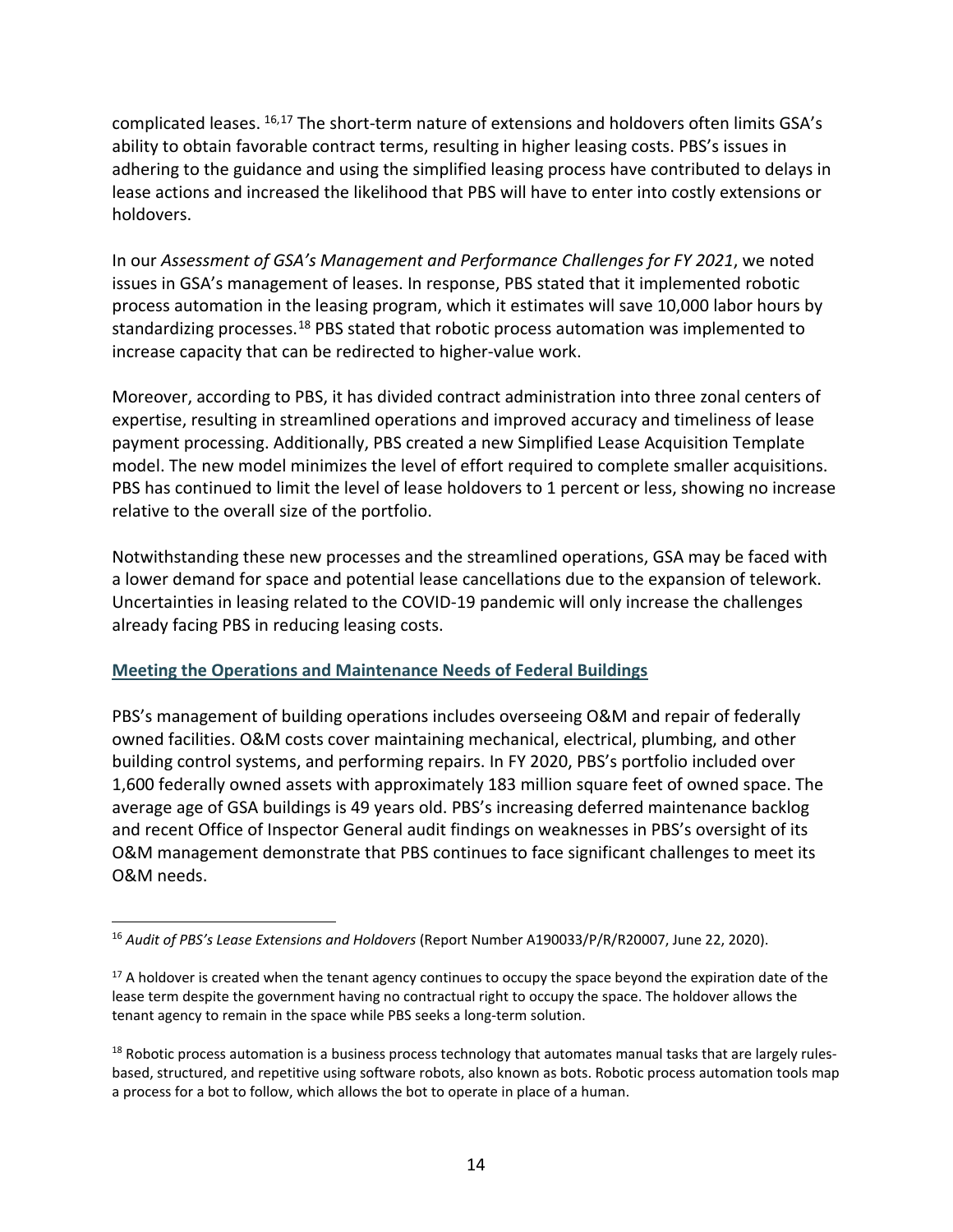lease actions and increased the likelihood that PBS will have to enter into costly extensions or complicated leases. [16,](#page-14-0)[17](#page-14-1) The short-term nature of extensions and holdovers often limits GSA's ability to obtain favorable contract terms, resulting in higher leasing costs. PBS's issues in adhering to the guidance and using the simplified leasing process have contributed to delays in holdovers.

In our *Assessment of GSA's Management and Performance Challenges for FY 2021*, we noted issues in GSA's management of leases. In response, PBS stated that it implemented robotic process automation in the leasing program, which it estimates will save 10,000 labor hours by standardizing processes.<sup>18</sup> PBS stated that robotic process automation was implemented to increase capacity that can be redirected to higher-value work.

 PBS has continued to limit the level of lease holdovers to 1 percent or less, showing no increase Moreover, according to PBS, it has divided contract administration into three zonal centers of expertise, resulting in streamlined operations and improved accuracy and timeliness of lease payment processing. Additionally, PBS created a new Simplified Lease Acquisition Template model. The new model minimizes the level of effort required to complete smaller acquisitions. relative to the overall size of the portfolio.

 Notwithstanding these new processes and the streamlined operations, GSA may be faced with a lower demand for space and potential lease cancellations due to the expansion of telework. Uncertainties in leasing related to the COVID-19 pandemic will only increase the challenges already facing PBS in reducing leasing costs.

## **Meeting the Operations and Maintenance Needs of Federal Buildings**

 and recent Office of Inspector General audit findings on weaknesses in PBS's oversight of its PBS's management of building operations includes overseeing O&M and repair of federally owned facilities. O&M costs cover maintaining mechanical, electrical, plumbing, and other building control systems, and performing repairs. In FY 2020, PBS's portfolio included over 1,600 federally owned assets with approximately 183 million square feet of owned space. The average age of GSA buildings is 49 years old. PBS's increasing deferred maintenance backlog O&M management demonstrate that PBS continues to face significant challenges to meet its O&M needs.

<span id="page-14-0"></span> $\overline{\phantom{a}}$  <sup>16</sup>*Audit of PBS's Lease Extensions and Holdovers* (Report Number A190033/P/R/R20007, June 22, 2020).

<span id="page-14-1"></span> $17$  A holdover is created when the tenant agency continues to occupy the space beyond the expiration date of the lease term despite the government having no contractual right to occupy the space. The holdover allows the tenant agency to remain in the space while PBS seeks a long-term solution.

<span id="page-14-2"></span> $^{18}$  Robotic process automation is a business process technology that automates manual tasks that are largely rules- based, structured, and repetitive using software robots, also known as bots. Robotic process automation tools map a process for a bot to follow, which allows the bot to operate in place of a human.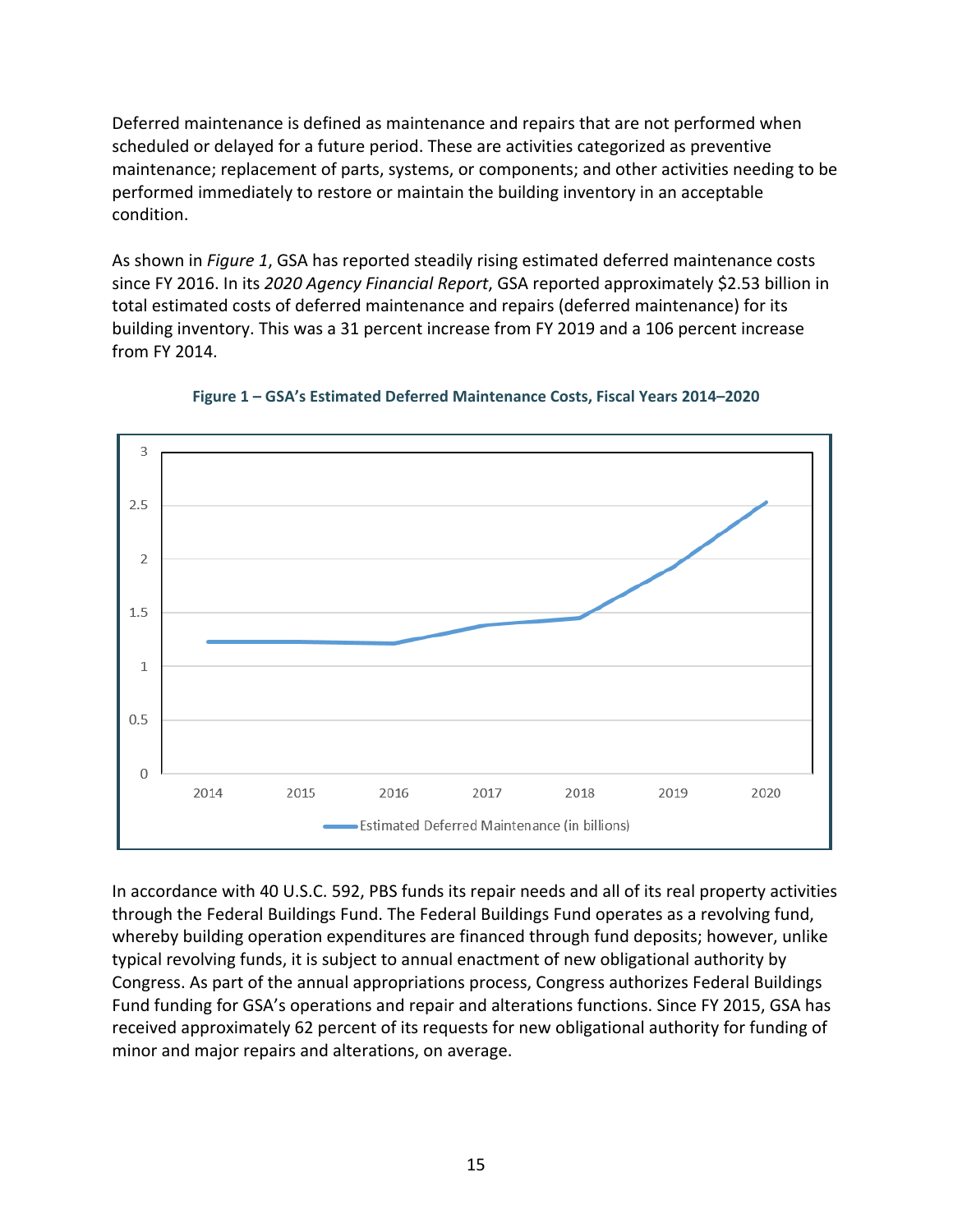Deferred maintenance is defined as maintenance and repairs that are not performed when scheduled or delayed for a future period. These are activities categorized as preventive maintenance; replacement of parts, systems, or components; and other activities needing to be performed immediately to restore or maintain the building inventory in an acceptable condition.

As shown in *Figure 1*, GSA has reported steadily rising estimated deferred maintenance costs since FY 2016. In its *2020 Agency Financial Report*, GSA reported approximately \$2.53 billion in total estimated costs of deferred maintenance and repairs (deferred maintenance) for its building inventory. This was a 31 percent increase from FY 2019 and a 106 percent increase from FY 2014.



**Figure 1 – GSA's Estimated Deferred Maintenance Costs, Fiscal Years 2014–2020** 

 In accordance with 40 U.S.C. 592, PBS funds its repair needs and all of its real property activities through the Federal Buildings Fund. The Federal Buildings Fund operates as a revolving fund, whereby building operation expenditures are financed through fund deposits; however, unlike typical revolving funds, it is subject to annual enactment of new obligational authority by Congress. As part of the annual appropriations process, Congress authorizes Federal Buildings Fund funding for GSA's operations and repair and alterations functions. Since FY 2015, GSA has received approximately 62 percent of its requests for new obligational authority for funding of minor and major repairs and alterations, on average.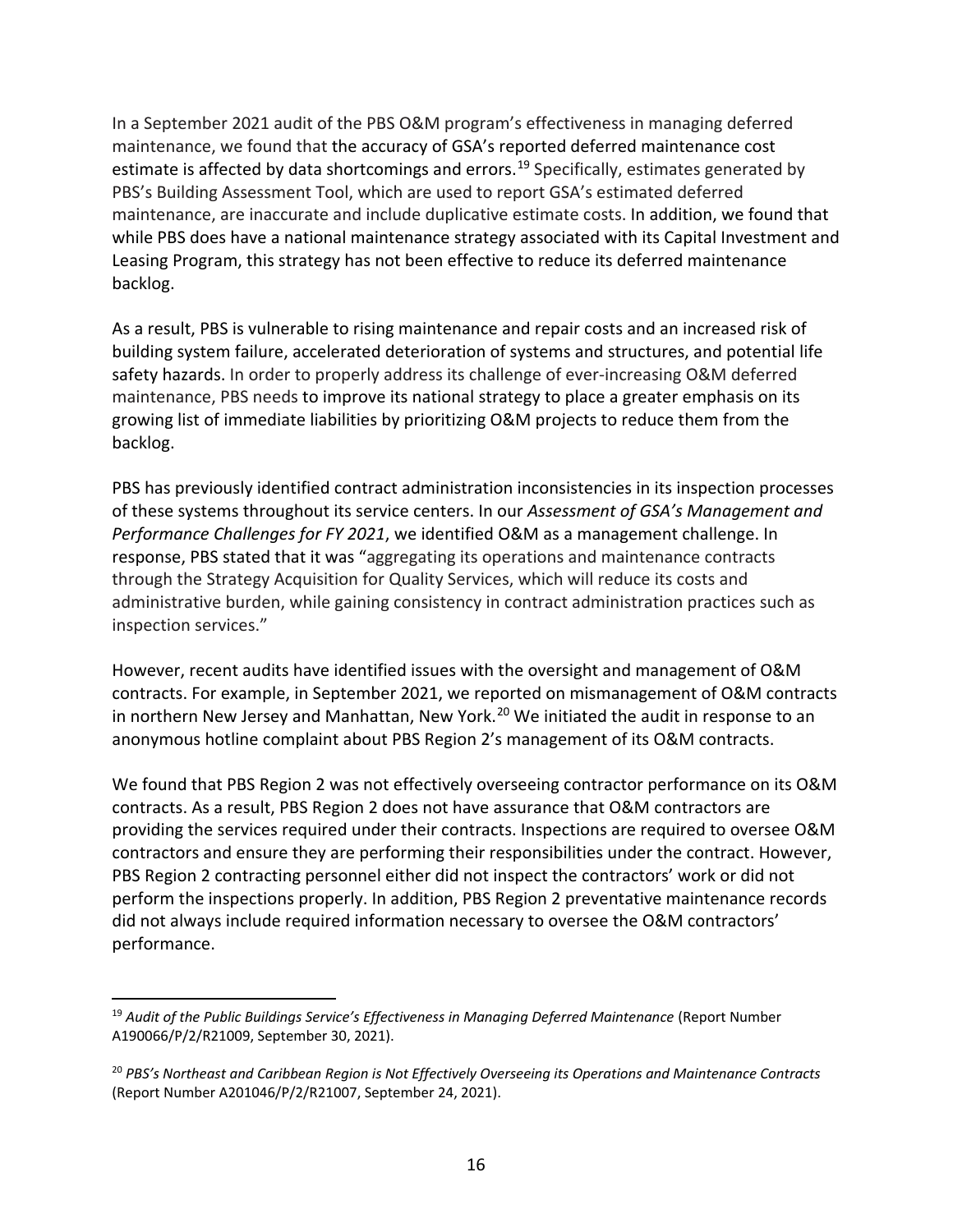In a September 2021 audit of the PBS O&M program's effectiveness in managing deferred maintenance, we found that the accuracy of GSA's reported deferred maintenance cost estimate is affected by data shortcomings and errors.<sup>19</sup> Specifically, estimates generated by PBS's Building Assessment Tool, which are used to report GSA's estimated deferred maintenance, are inaccurate and include duplicative estimate costs. In addition, we found that while PBS does have a national maintenance strategy associated with its Capital Investment and Leasing Program, this strategy has not been effective to reduce its deferred maintenance backlog.

 maintenance, PBS needs to improve its national strategy to place a greater emphasis on its As a result, PBS is vulnerable to rising maintenance and repair costs and an increased risk of building system failure, accelerated deterioration of systems and structures, and potential life safety hazards. In order to properly address its challenge of ever-increasing O&M deferred growing list of immediate liabilities by prioritizing O&M projects to reduce them from the backlog.

 through the Strategy Acquisition for Quality Services, which will reduce its costs and PBS has previously identified contract administration inconsistencies in its inspection processes of these systems throughout its service centers. In our *Assessment of GSA's Management and Performance Challenges for FY 2021*, we identified O&M as a management challenge. In response, PBS stated that it was "aggregating its operations and maintenance contracts administrative burden, while gaining consistency in contract administration practices such as inspection services."

in northern New Jersey and Manhattan, New York.<sup>20</sup> We initiated the audit in response to an However, recent audits have identified issues with the oversight and management of O&M contracts. For example, in September 2021, we reported on mismanagement of O&M contracts anonymous hotline complaint about PBS Region 2's management of its O&M contracts.

 We found that PBS Region 2 was not effectively overseeing contractor performance on its O&M contracts. As a result, PBS Region 2 does not have assurance that O&M contractors are providing the services required under their contracts. Inspections are required to oversee O&M contractors and ensure they are performing their responsibilities under the contract. However, PBS Region 2 contracting personnel either did not inspect the contractors' work or did not perform the inspections properly. In addition, PBS Region 2 preventative maintenance records did not always include required information necessary to oversee the O&M contractors' performance.

 $\overline{\phantom{a}}$ 

<span id="page-16-0"></span><sup>&</sup>lt;sup>19</sup> Audit of the Public Buildings Service's Effectiveness in Managing Deferred Maintenance (Report Number A190066/P/2/R21009, September 30, 2021).

<span id="page-16-1"></span> <sup>20</sup>*PBS's Northeast and Caribbean Region is Not Effectively Overseeing its Operations and Maintenance Contracts*  (Report Number A201046/P/2/R21007, September 24, 2021).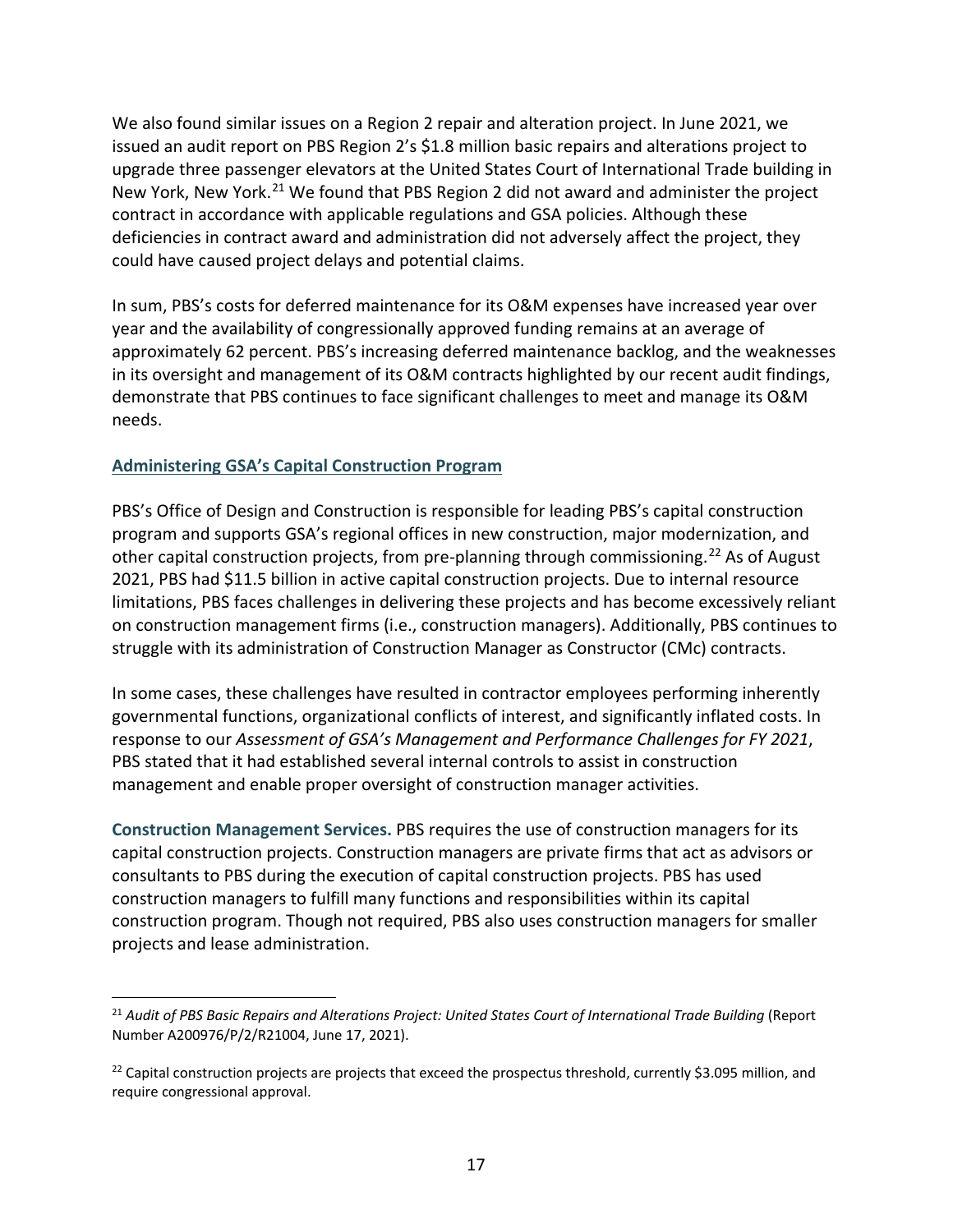We also found similar issues on a Region 2 repair and alteration project. In June 2021, we issued an audit report on PBS Region 2's \$1.8 million basic repairs and alterations project to upgrade three passenger elevators at the United States Court of International Trade building in New York, New York.<sup>21</sup> We found that PBS Region 2 did not award and administer the project contract in accordance with applicable regulations and GSA policies. Although these deficiencies in contract award and administration did not adversely affect the project, they could have caused project delays and potential claims.

 year and the availability of congressionally approved funding remains at an average of approximately 62 percent. PBS's increasing deferred maintenance backlog, and the weaknesses In sum, PBS's costs for deferred maintenance for its O&M expenses have increased year over in its oversight and management of its O&M contracts highlighted by our recent audit findings, demonstrate that PBS continues to face significant challenges to meet and manage its O&M needs.

# **Administering GSA's Capital Construction Program**

 $\overline{\phantom{a}}$ 

PBS's Office of Design and Construction is responsible for leading PBS's capital construction program and supports GSA's regional offices in new construction, major modernization, and other capital construction projects, from pre-planning through commissioning.<sup>22</sup> As of August 2021, PBS had \$11.5 billion in active capital construction projects. Due to internal resource limitations, PBS faces challenges in delivering these projects and has become excessively reliant on construction management firms (i.e., construction managers). Additionally, PBS continues to struggle with its administration of Construction Manager as Constructor (CMc) contracts.

In some cases, these challenges have resulted in contractor employees performing inherently governmental functions, organizational conflicts of interest, and significantly inflated costs. In response to our *Assessment of GSA's Management and Performance Challenges for FY 2021*, PBS stated that it had established several internal controls to assist in construction management and enable proper oversight of construction manager activities.

**Construction Management Services.** PBS requires the use of construction managers for its capital construction projects. Construction managers are private firms that act as advisors or consultants to PBS during the execution of capital construction projects. PBS has used construction managers to fulfill many functions and responsibilities within its capital construction program. Though not required, PBS also uses construction managers for smaller projects and lease administration.

<span id="page-17-0"></span> <sup>21</sup>*Audit of PBS Basic Repairs and Alterations Project: United States Court of International Trade Building* (Report Number A200976/P/2/R21004, June 17, 2021).

<span id="page-17-1"></span><sup>&</sup>lt;sup>22</sup> Capital construction projects are projects that exceed the prospectus threshold, currently \$3.095 million, and require congressional approval.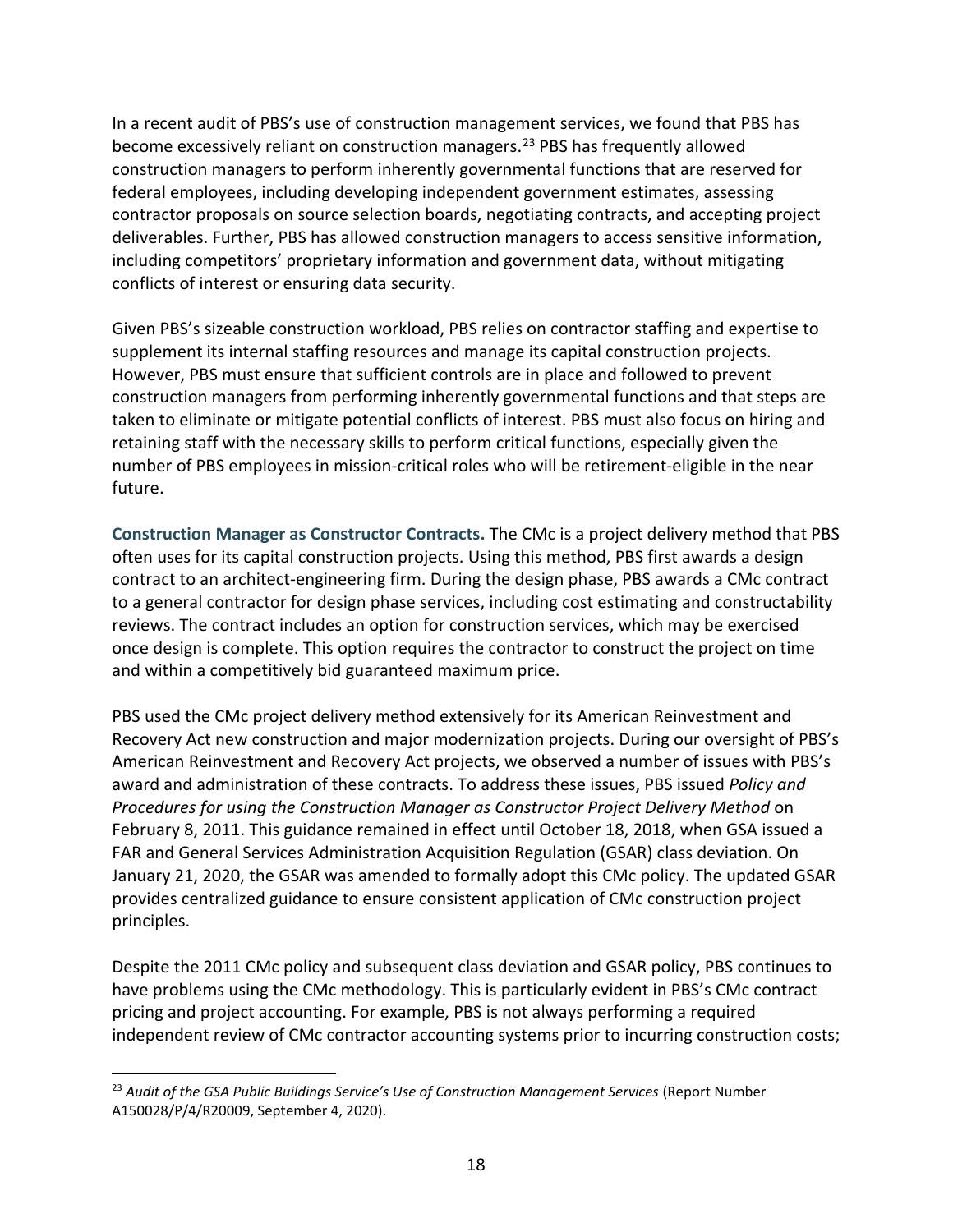In a recent audit of PBS's use of construction management services, we found that PBS has become excessively reliant on construction managers.[23](#page-18-0) PBS has frequently allowed construction managers to perform inherently governmental functions that are reserved for federal employees, including developing independent government estimates, assessing contractor proposals on source selection boards, negotiating contracts, and accepting project deliverables. Further, PBS has allowed construction managers to access sensitive information, including competitors' proprietary information and government data, without mitigating conflicts of interest or ensuring data security.

Given PBS's sizeable construction workload, PBS relies on contractor staffing and expertise to supplement its internal staffing resources and manage its capital construction projects. However, PBS must ensure that sufficient controls are in place and followed to prevent construction managers from performing inherently governmental functions and that steps are taken to eliminate or mitigate potential conflicts of interest. PBS must also focus on hiring and retaining staff with the necessary skills to perform critical functions, especially given the number of PBS employees in mission-critical roles who will be retirement-eligible in the near future.

**Construction Manager as Constructor Contracts.** The CMc is a project delivery method that PBS often uses for its capital construction projects. Using this method, PBS first awards a design contract to an architect-engineering firm. During the design phase, PBS awards a CMc contract to a general contractor for design phase services, including cost estimating and constructability reviews. The contract includes an option for construction services, which may be exercised once design is complete. This option requires the contractor to construct the project on time and within a competitively bid guaranteed maximum price.

 FAR and General Services Administration Acquisition Regulation (GSAR) class deviation. On PBS used the CMc project delivery method extensively for its American Reinvestment and Recovery Act new construction and major modernization projects. During our oversight of PBS's American Reinvestment and Recovery Act projects, we observed a number of issues with PBS's award and administration of these contracts. To address these issues, PBS issued *Policy and Procedures for using the Construction Manager as Constructor Project Delivery Method* on February 8, 2011. This guidance remained in effect until October 18, 2018, when GSA issued a January 21, 2020, the GSAR was amended to formally adopt this CMc policy. The updated GSAR provides centralized guidance to ensure consistent application of CMc construction project principles.

Despite the 2011 CMc policy and subsequent class deviation and GSAR policy, PBS continues to have problems using the CMc methodology. This is particularly evident in PBS's CMc contract pricing and project accounting. For example, PBS is not always performing a required independent review of CMc contractor accounting systems prior to incurring construction costs;

 $\overline{a}$ 

<span id="page-18-0"></span><sup>&</sup>lt;sup>23</sup> Audit of the GSA Public Buildings Service's Use of Construction Management Services (Report Number A150028/P/4/R20009, September 4, 2020).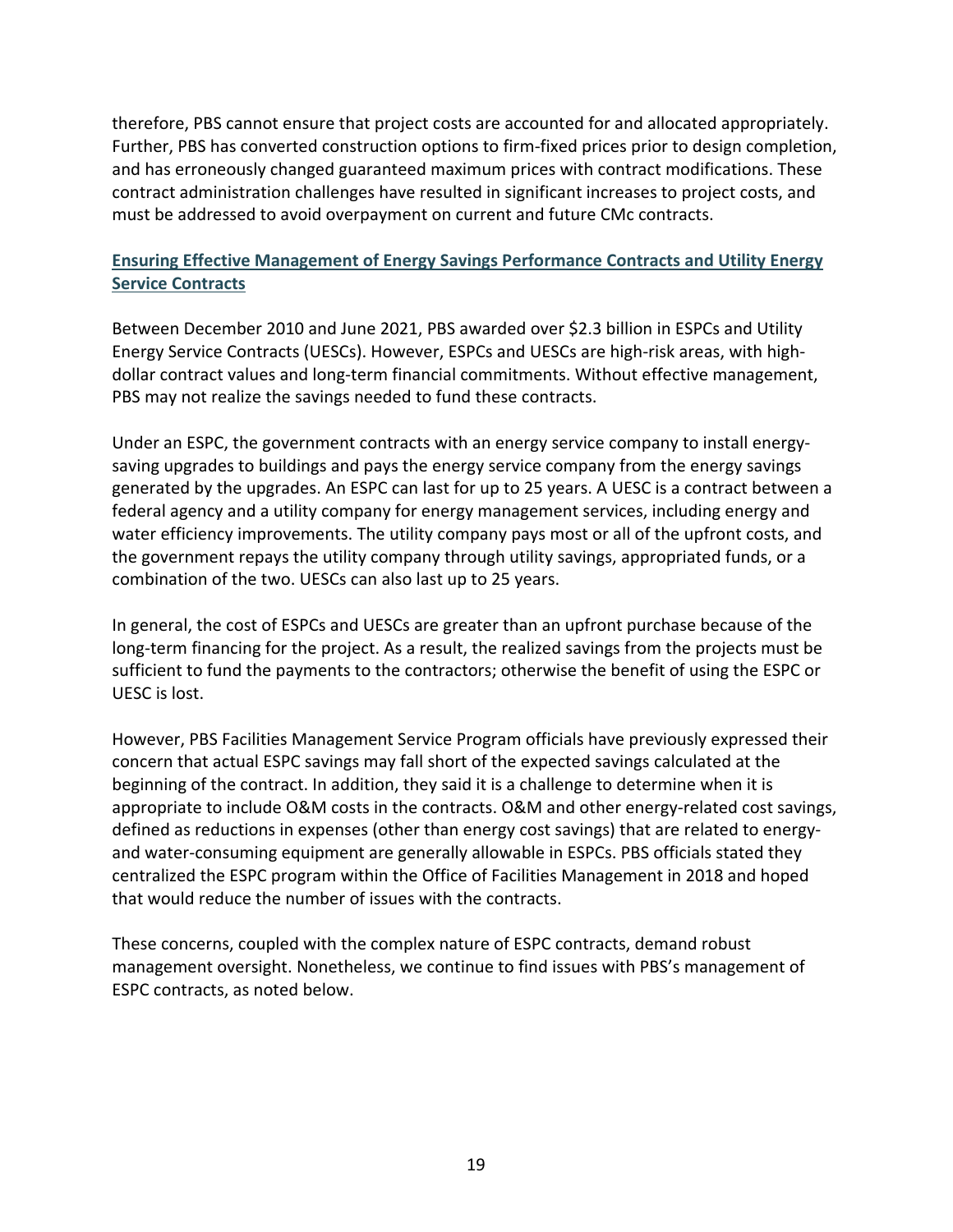therefore, PBS cannot ensure that project costs are accounted for and allocated appropriately. Further, PBS has converted construction options to firm-fixed prices prior to design completion, and has erroneously changed guaranteed maximum prices with contract modifications. These contract administration challenges have resulted in significant increases to project costs, and must be addressed to avoid overpayment on current and future CMc contracts.

# **Ensuring Effective Management of Energy Savings Performance Contracts and Utility Energy Service Contracts**

Between December 2010 and June 2021, PBS awarded over \$2.3 billion in ESPCs and Utility Energy Service Contracts (UESCs). However, ESPCs and UESCs are high-risk areas, with highdollar contract values and long-term financial commitments. Without effective management, PBS may not realize the savings needed to fund these contracts.

 federal agency and a utility company for energy management services, including energy and Under an ESPC, the government contracts with an energy service company to install energysaving upgrades to buildings and pays the energy service company from the energy savings generated by the upgrades. An ESPC can last for up to 25 years. A UESC is a contract between a water efficiency improvements. The utility company pays most or all of the upfront costs, and the government repays the utility company through utility savings, appropriated funds, or a combination of the two. UESCs can also last up to 25 years.

 long-term financing for the project. As a result, the realized savings from the projects must be In general, the cost of ESPCs and UESCs are greater than an upfront purchase because of the sufficient to fund the payments to the contractors; otherwise the benefit of using the ESPC or UESC is lost.

 and water-consuming equipment are generally allowable in ESPCs. PBS officials stated they However, PBS Facilities Management Service Program officials have previously expressed their concern that actual ESPC savings may fall short of the expected savings calculated at the beginning of the contract. In addition, they said it is a challenge to determine when it is appropriate to include O&M costs in the contracts. O&M and other energy-related cost savings, defined as reductions in expenses (other than energy cost savings) that are related to energycentralized the ESPC program within the Office of Facilities Management in 2018 and hoped that would reduce the number of issues with the contracts.

These concerns, coupled with the complex nature of ESPC contracts, demand robust management oversight. Nonetheless, we continue to find issues with PBS's management of ESPC contracts, as noted below.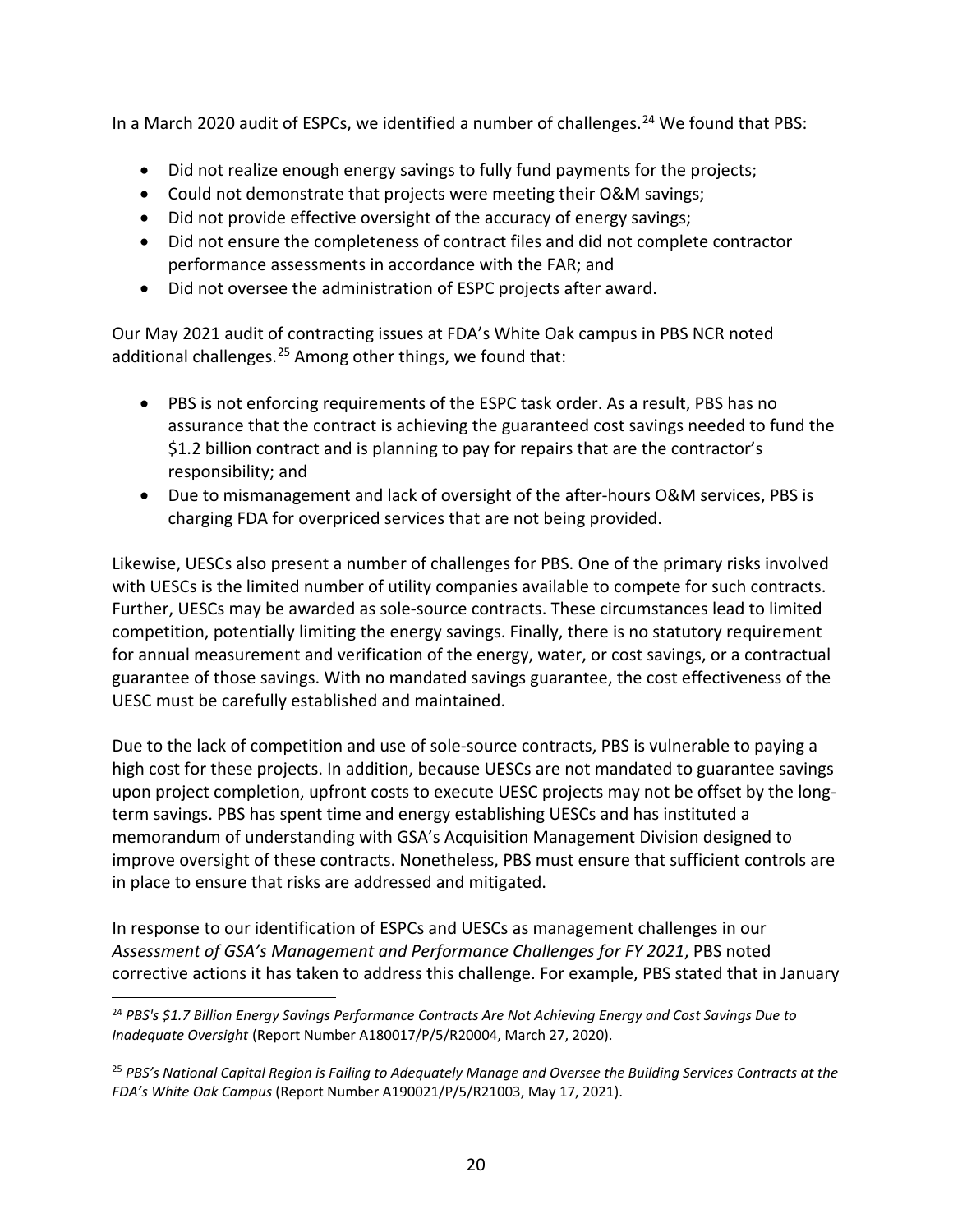In a March 2020 audit of ESPCs, we identified a number of challenges.<sup>24</sup> We found that PBS:

- Did not realize enough energy savings to fully fund payments for the projects;
- Could not demonstrate that projects were meeting their O&M savings;
- Did not provide effective oversight of the accuracy of energy savings;
- Did not ensure the completeness of contract files and did not complete contractor performance assessments in accordance with the FAR; and
- Did not oversee the administration of ESPC projects after award.

 Our May 2021 audit of contracting issues at FDA's White Oak campus in PBS NCR noted additional challenges. $25$  Among other things, we found that:

- PBS is not enforcing requirements of the ESPC task order. As a result, PBS has no assurance that the contract is achieving the guaranteed cost savings needed to fund the \$1.2 billion contract and is planning to pay for repairs that are the contractor's responsibility; and
- Due to mismanagement and lack of oversight of the after-hours O&M services, PBS is charging FDA for overpriced services that are not being provided.

 competition, potentially limiting the energy savings. Finally, there is no statutory requirement Likewise, UESCs also present a number of challenges for PBS. One of the primary risks involved with UESCs is the limited number of utility companies available to compete for such contracts. Further, UESCs may be awarded as sole-source contracts. These circumstances lead to limited for annual measurement and verification of the energy, water, or cost savings, or a contractual guarantee of those savings. With no mandated savings guarantee, the cost effectiveness of the UESC must be carefully established and maintained.

Due to the lack of competition and use of sole-source contracts, PBS is vulnerable to paying a high cost for these projects. In addition, because UESCs are not mandated to guarantee savings upon project completion, upfront costs to execute UESC projects may not be offset by the longterm savings. PBS has spent time and energy establishing UESCs and has instituted a memorandum of understanding with GSA's Acquisition Management Division designed to improve oversight of these contracts. Nonetheless, PBS must ensure that sufficient controls are in place to ensure that risks are addressed and mitigated.

 In response to our identification of ESPCs and UESCs as management challenges in our *Assessment of GSA's Management and Performance Challenges for FY 2021*, PBS noted corrective actions it has taken to address this challenge. For example, PBS stated that in January

<span id="page-20-0"></span> $\overline{\phantom{a}}$  <sup>24</sup>*PBS's \$1.7 Billion Energy Savings Performance Contracts Are Not Achieving Energy and Cost Savings Due to Inadequate Oversight* (Report Number A180017/P/5/R20004, March 27, 2020).

<span id="page-20-1"></span> <sup>25</sup>*PBS's National Capital Region is Failing to Adequately Manage and Oversee the Building Services Contracts at the FDA's White Oak Campus* (Report Number A190021/P/5/R21003, May 17, 2021).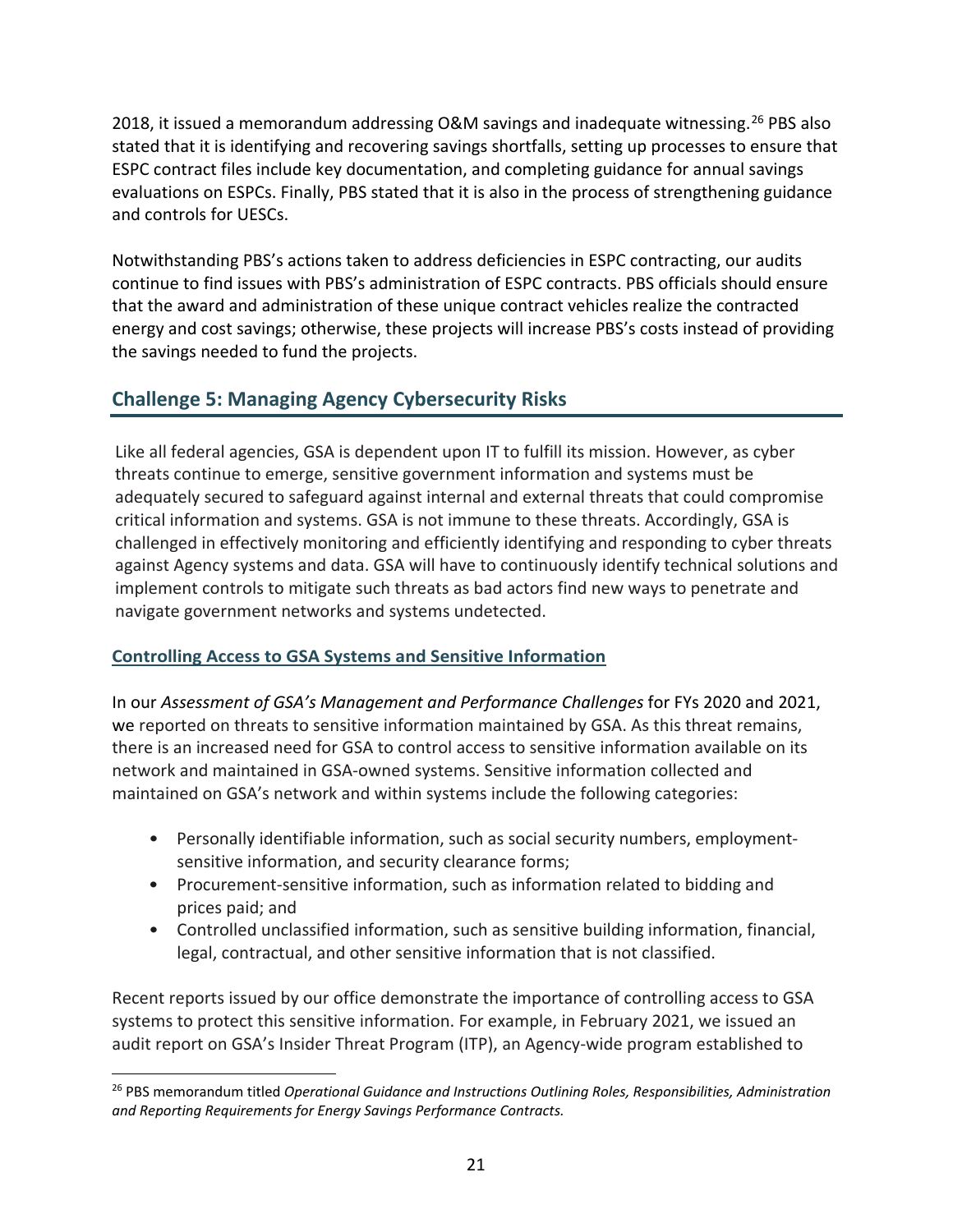2018, it issued a memorandum addressing O&M savings and inadequate witnessing.<sup>26</sup> PBS also stated that it is identifying and recovering savings shortfalls, setting up processes to ensure that ESPC contract files include key documentation, and completing guidance for annual savings evaluations on ESPCs. Finally, PBS stated that it is also in the process of strengthening guidance and controls for UESCs.

 continue to find issues with PBS's administration of ESPC contracts. PBS officials should ensure Notwithstanding PBS's actions taken to address deficiencies in ESPC contracting, our audits that the award and administration of these unique contract vehicles realize the contracted energy and cost savings; otherwise, these projects will increase PBS's costs instead of providing the savings needed to fund the projects.

# **Challenge 5: Managing Agency Cybersecurity Risks**

 Like all federal agencies, GSA is dependent upon IT to fulfill its mission. However, as cyber threats continue to emerge, sensitive government information and systems must be adequately secured to safeguard against internal and external threats that could compromise critical information and systems. GSA is not immune to these threats. Accordingly, GSA is challenged in effectively monitoring and efficiently identifying and responding to cyber threats against Agency systems and data. GSA will have to continuously identify technical solutions and implement controls to mitigate such threats as bad actors find new ways to penetrate and navigate government networks and systems undetected.

# **Controlling Access to GSA Systems and Sensitive Information**

In our *Assessment of GSA's Management and Performance Challenges* for FYs 2020 and 2021, we reported on threats to sensitive information maintained by GSA. As this threat remains, there is an increased need for GSA to control access to sensitive information available on its network and maintained in GSA-owned systems. Sensitive information collected and maintained on GSA's network and within systems include the following categories:

- Personally identifiable information, such as social security numbers, employmentsensitive information, and security clearance forms;
- prices paid; and • Procurement-sensitive information, such as information related to bidding and
- Controlled unclassified information, such as sensitive building information, financial, legal, contractual, and other sensitive information that is not classified.

Recent reports issued by our office demonstrate the importance of controlling access to GSA systems to protect this sensitive information. For example, in February 2021, we issued an audit report on GSA's Insider Threat Program (ITP), an Agency-wide program established to

<span id="page-21-0"></span> $\overline{a}$  26 PBS memorandum titled *Operational Guidance and Instructions Outlining Roles, Responsibilities, Administration and Reporting Requirements for Energy Savings Performance Contracts.*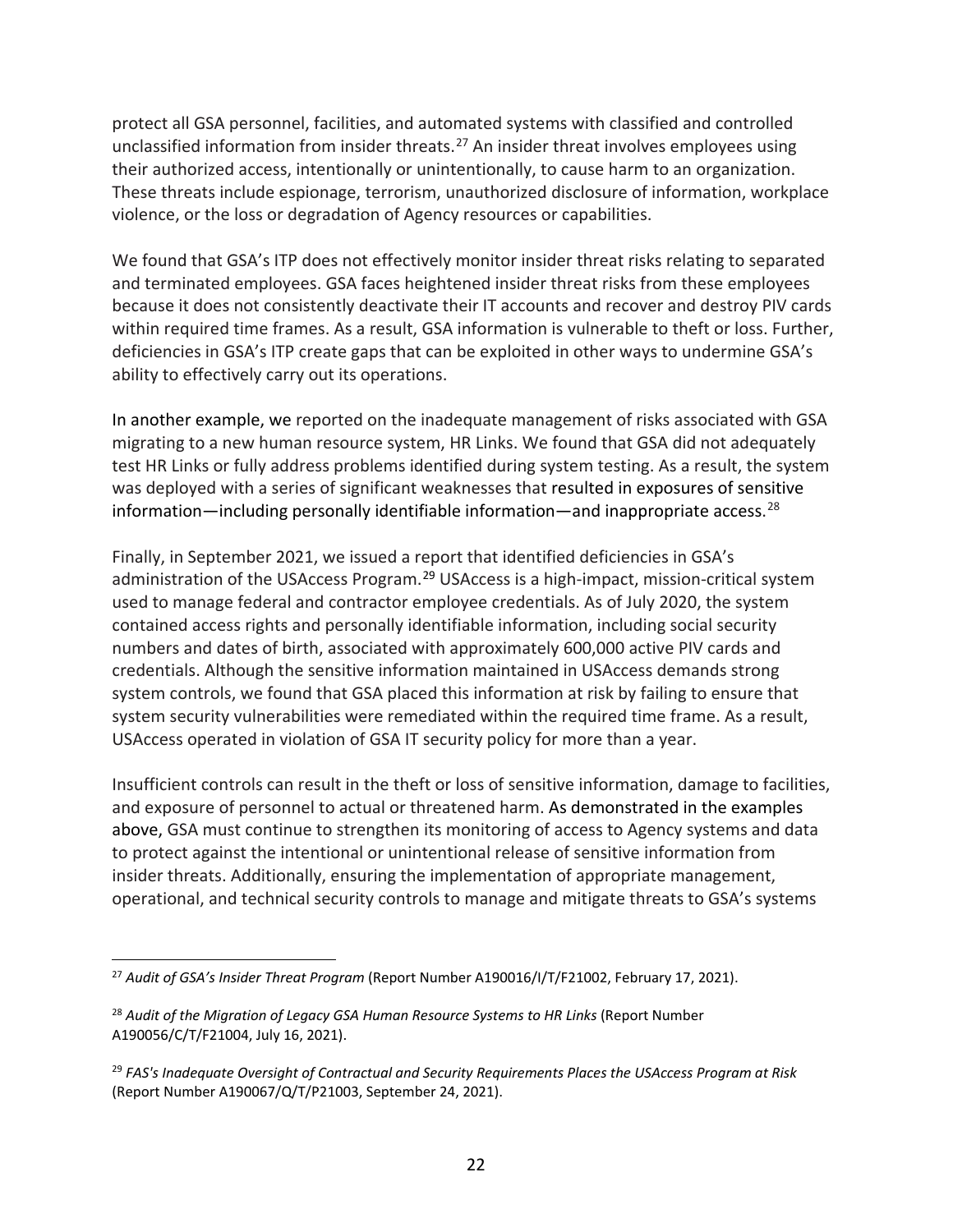protect all GSA personnel, facilities, and automated systems with classified and controlled unclassified information from insider threats.[27](#page-22-0) An insider threat involves employees using their authorized access, intentionally or unintentionally, to cause harm to an organization. These threats include espionage, terrorism, unauthorized disclosure of information, workplace violence, or the loss or degradation of Agency resources or capabilities.

 because it does not consistently deactivate their IT accounts and recover and destroy PIV cards We found that GSA's ITP does not effectively monitor insider threat risks relating to separated and terminated employees. GSA faces heightened insider threat risks from these employees within required time frames. As a result, GSA information is vulnerable to theft or loss. Further, deficiencies in GSA's ITP create gaps that can be exploited in other ways to undermine GSA's ability to effectively carry out its operations.

 migrating to a new human resource system, HR Links. We found that GSA did not adequately In another example, we reported on the inadequate management of risks associated with GSA test HR Links or fully address problems identified during system testing. As a result, the system was deployed with a series of significant weaknesses that resulted in exposures of sensitive information—including personally identifiable information—and inappropriate access. [28](#page-22-1)

 system security vulnerabilities were remediated within the required time frame. As a result, USAccess operated in violation of GSA IT security policy for more than a year. Finally, in September 2021, we issued a report that identified deficiencies in GSA's administration of the USAccess Program.<sup>29</sup> USAccess is a high-impact, mission-critical system used to manage federal and contractor employee credentials. As of July 2020, the system contained access rights and personally identifiable information, including social security numbers and dates of birth, associated with approximately 600,000 active PIV cards and credentials. Although the sensitive information maintained in USAccess demands strong system controls, we found that GSA placed this information at risk by failing to ensure that

 above, GSA must continue to strengthen its monitoring of access to Agency systems and data Insufficient controls can result in the theft or loss of sensitive information, damage to facilities, and exposure of personnel to actual or threatened harm. As demonstrated in the examples to protect against the intentional or unintentional release of sensitive information from insider threats. Additionally, ensuring the implementation of appropriate management, operational, and technical security controls to manage and mitigate threats to GSA's systems

<span id="page-22-0"></span> $\overline{\phantom{a}}$  <sup>27</sup>*Audit of GSA's Insider Threat Program* (Report Number A190016/I/T/F21002, February 17, 2021).

<span id="page-22-1"></span><sup>&</sup>lt;sup>28</sup> Audit of the Migration of Legacy GSA Human Resource Systems to HR Links (Report Number A190056/C/T/F21004, July 16, 2021).

<span id="page-22-2"></span> <sup>29</sup>*FAS's Inadequate Oversight of Contractual and Security Requirements Places the USAccess Program at Risk*  (Report Number A190067/Q/T/P21003, September 24, 2021).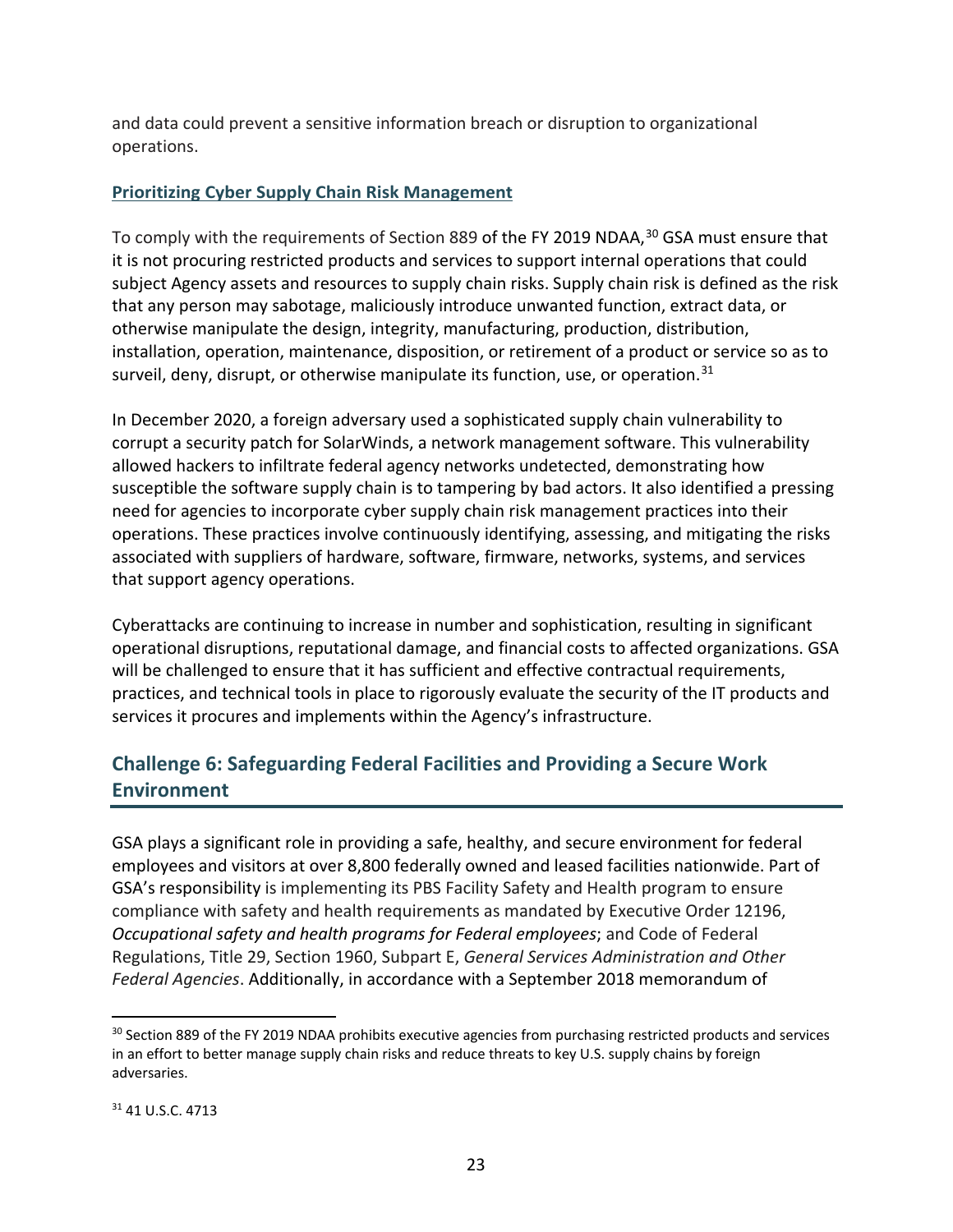and data could prevent a sensitive information breach or disruption to organizational operations.

# **Prioritizing Cyber Supply Chain Risk Management**

 subject Agency assets and resources to supply chain risks. Supply chain risk is defined as the risk To comply with the requirements of Section 889 of the FY 2019 NDAA,<sup>[30](#page-23-0)</sup> GSA must ensure that it is not procuring restricted products and services to support internal operations that could that any person may sabotage, maliciously introduce unwanted function, extract data, or otherwise manipulate the design, integrity, manufacturing, production, distribution, installation, operation, maintenance, disposition, or retirement of a product or service so as to surveil, deny, disrupt, or otherwise manipulate its function, use, or operation. $31$ 

In December 2020, a foreign adversary used a sophisticated supply chain vulnerability to corrupt a security patch for SolarWinds, a network management software. This vulnerability allowed hackers to infiltrate federal agency networks undetected, demonstrating how susceptible the software supply chain is to tampering by bad actors. It also identified a pressing need for agencies to incorporate cyber supply chain risk management practices into their operations. These practices involve continuously identifying, assessing, and mitigating the risks associated with suppliers of hardware, software, firmware, networks, systems, and services that support agency operations.

 practices, and technical tools in place to rigorously evaluate the security of the IT products and Cyberattacks are continuing to increase in number and sophistication, resulting in significant operational disruptions, reputational damage, and financial costs to affected organizations. GSA will be challenged to ensure that it has sufficient and effective contractual requirements, services it procures and implements within the Agency's infrastructure.

# **Challenge 6: Safeguarding Federal Facilities and Providing a Secure Work Environment**

 GSA plays a significant role in providing a safe, healthy, and secure environment for federal compliance with safety and health requirements as mandated by Executive Order 12196, Regulations, Title 29, Section 1960, Subpart E, *General Services Administration and Other*  employees and visitors at over 8,800 federally owned and leased facilities nationwide. Part of GSA's responsibility is implementing its PBS Facility Safety and Health program to ensure *Occupational safety and health programs for Federal employees*; and Code of Federal *Federal Agencies*. Additionally, in accordance with a September 2018 memorandum of

l

<span id="page-23-1"></span><span id="page-23-0"></span> $30$  Section 889 of the FY 2019 NDAA prohibits executive agencies from purchasing restricted products and services in an effort to better manage supply chain risks and reduce threats to key U.S. supply chains by foreign adversaries.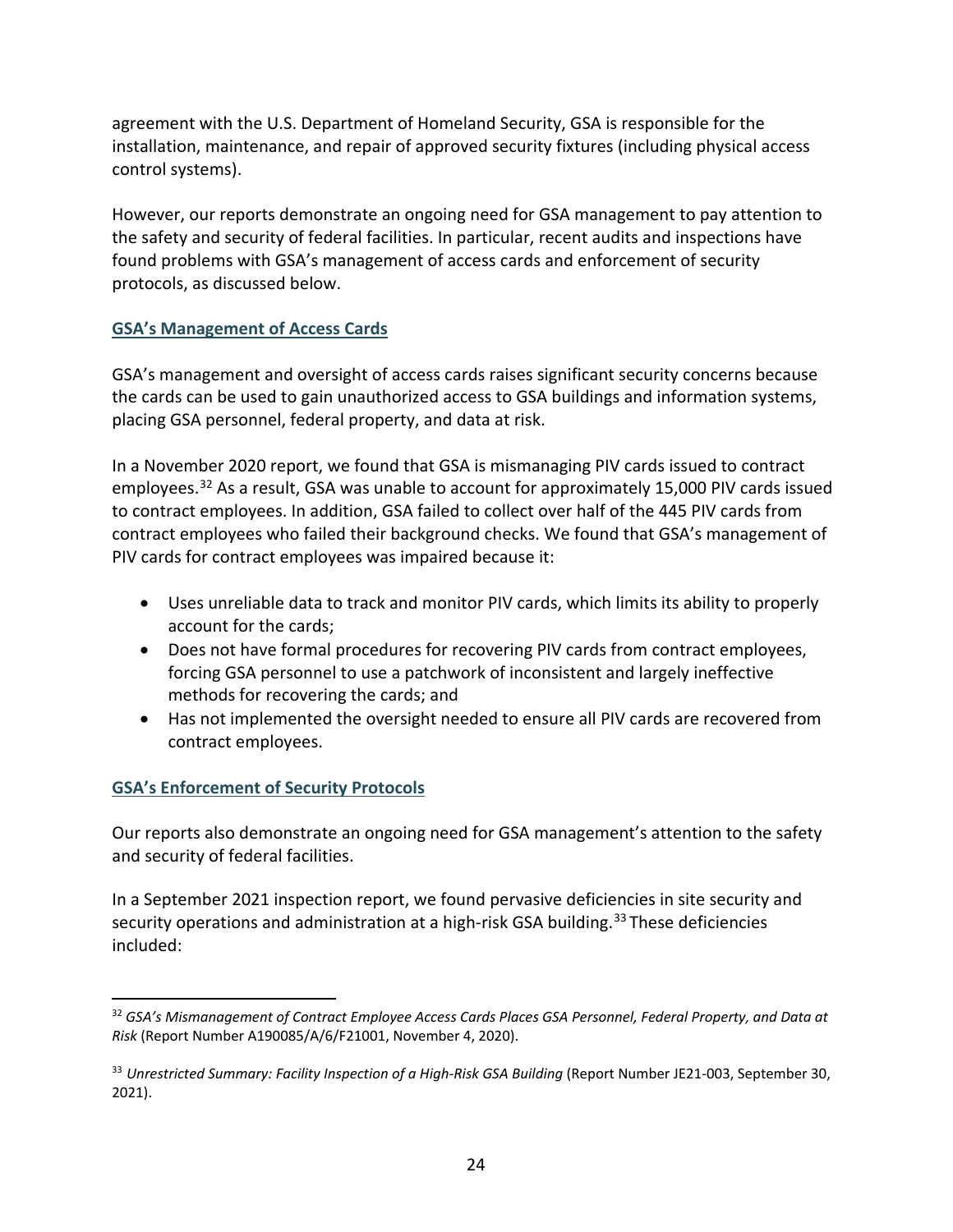agreement with the U.S. Department of Homeland Security, GSA is responsible for the installation, maintenance, and repair of approved security fixtures (including physical access control systems).

 However, our reports demonstrate an ongoing need for GSA management to pay attention to the safety and security of federal facilities. In particular, recent audits and inspections have found problems with GSA's management of access cards and enforcement of security protocols, as discussed below.

## **GSA's Management of Access Cards**

 GSA's management and oversight of access cards raises significant security concerns because the cards can be used to gain unauthorized access to GSA buildings and information systems, placing GSA personnel, federal property, and data at risk.

In a November 2020 report, we found that GSA is mismanaging PIV cards issued to contract employees.<sup>32</sup> As a result, GSA was unable to account for approximately 15,000 PIV cards issued to contract employees. In addition, GSA failed to collect over half of the 445 PIV cards from contract employees who failed their background checks. We found that GSA's management of PIV cards for contract employees was impaired because it:

- Uses unreliable data to track and monitor PIV cards, which limits its ability to properly account for the cards;
- Does not have formal procedures for recovering PIV cards from contract employees, forcing GSA personnel to use a patchwork of inconsistent and largely ineffective methods for recovering the cards; and
- Has not implemented the oversight needed to ensure all PIV cards are recovered from contract employees.

# **GSA's Enforcement of Security Protocols**

Our reports also demonstrate an ongoing need for GSA management's attention to the safety and security of federal facilities.

In a September 2021 inspection report, we found pervasive deficiencies in site security and security operations and administration at a high-risk GSA building.<sup>[33](#page-24-1)</sup> These deficiencies included:

<span id="page-24-0"></span> $\overline{\phantom{a}}$ <sup>32</sup> GSA's Mismanagement of Contract Employee Access Cards Places GSA Personnel, Federal Property, and Data at *Risk* (Report Number A190085/A/6/F21001, November 4, 2020).

<span id="page-24-1"></span><sup>&</sup>lt;sup>33</sup> Unrestricted Summary: Facility Inspection of a High-Risk GSA Building (Report Number JE21-003, September 30, 2021).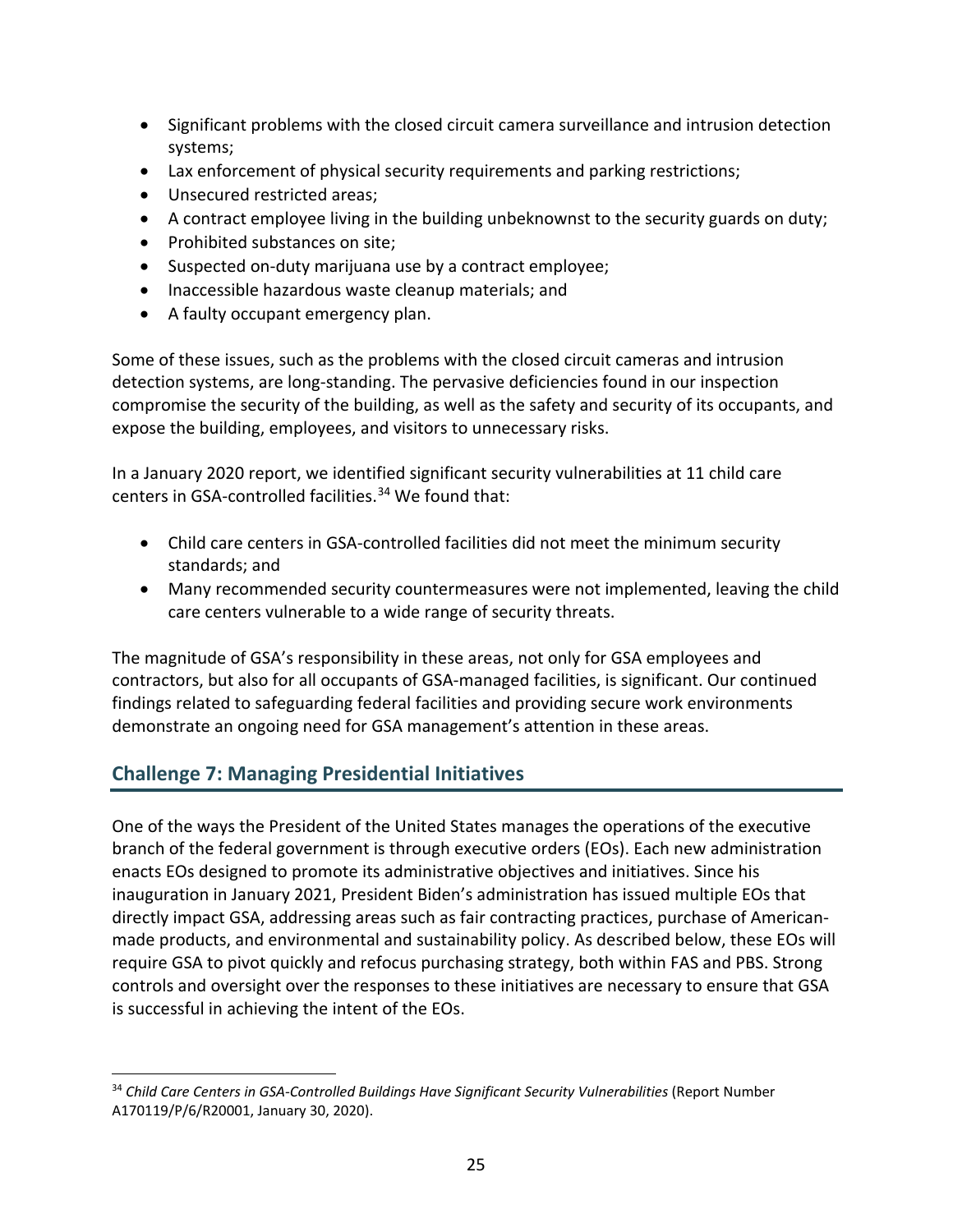- Significant problems with the closed circuit camera surveillance and intrusion detection systems;
- Lax enforcement of physical security requirements and parking restrictions;
- Unsecured restricted areas;
- A contract employee living in the building unbeknownst to the security guards on duty;
- Prohibited substances on site;
- Suspected on-duty marijuana use by a contract employee;
- Inaccessible hazardous waste cleanup materials; and
- A faulty occupant emergency plan.

Some of these issues, such as the problems with the closed circuit cameras and intrusion detection systems, are long-standing. The pervasive deficiencies found in our inspection compromise the security of the building, as well as the safety and security of its occupants, and expose the building, employees, and visitors to unnecessary risks.

In a January 2020 report, we identified significant security vulnerabilities at 11 child care centers in GSA-controlled facilities. [34](#page-25-0) We found that:

- Child care centers in GSA-controlled facilities did not meet the minimum security standards; and
- Many recommended security countermeasures were not implemented, leaving the child care centers vulnerable to a wide range of security threats.

The magnitude of GSA's responsibility in these areas, not only for GSA employees and contractors, but also for all occupants of GSA-managed facilities, is significant. Our continued findings related to safeguarding federal facilities and providing secure work environments demonstrate an ongoing need for GSA management's attention in these areas.

# **Challenge 7: Managing Presidential Initiatives**

One of the ways the President of the United States manages the operations of the executive branch of the federal government is through executive orders (EOs). Each new administration enacts EOs designed to promote its administrative objectives and initiatives. Since his inauguration in January 2021, President Biden's administration has issued multiple EOs that directly impact GSA, addressing areas such as fair contracting practices, purchase of Americanmade products, and environmental and sustainability policy. As described below, these EOs will require GSA to pivot quickly and refocus purchasing strategy, both within FAS and PBS. Strong controls and oversight over the responses to these initiatives are necessary to ensure that GSA is successful in achieving the intent of the EOs.

<span id="page-25-0"></span> $\overline{a}$ <sup>34</sup> Child Care Centers in GSA-Controlled Buildings Have Significant Security Vulnerabilities (Report Number A170119/P/6/R20001, January 30, 2020).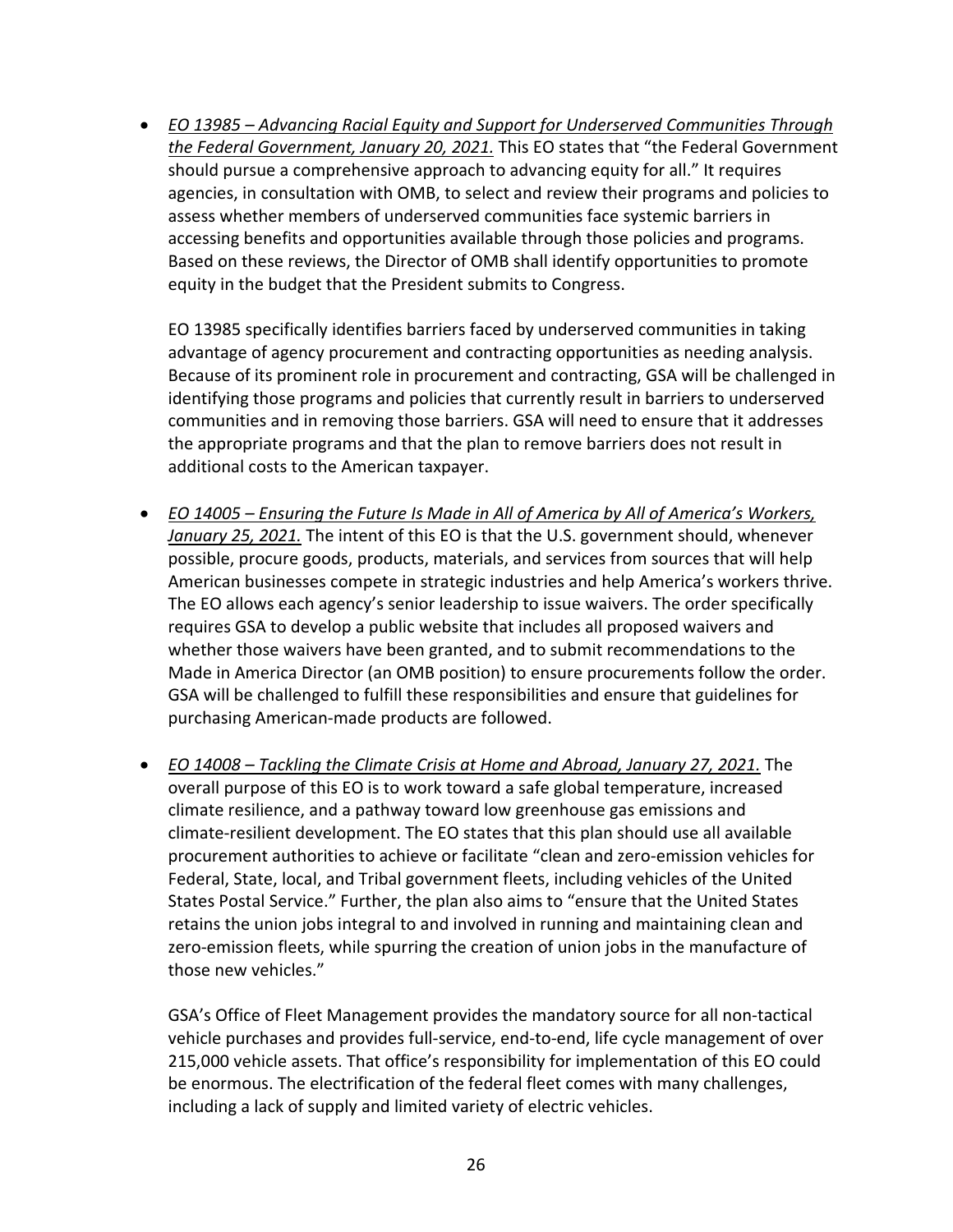• *EO 13985 – Advancing Racial Equity and Support for Underserved Communities Through*  should pursue a comprehensive approach to advancing equity for all." It requires *the Federal Government, January 20, 2021.* This EO states that "the Federal Government agencies, in consultation with OMB, to select and review their programs and policies to assess whether members of underserved communities face systemic barriers in accessing benefits and opportunities available through those policies and programs. Based on these reviews, the Director of OMB shall identify opportunities to promote equity in the budget that the President submits to Congress.

EO 13985 specifically identifies barriers faced by underserved communities in taking advantage of agency procurement and contracting opportunities as needing analysis. Because of its prominent role in procurement and contracting, GSA will be challenged in identifying those programs and policies that currently result in barriers to underserved communities and in removing those barriers. GSA will need to ensure that it addresses the appropriate programs and that the plan to remove barriers does not result in additional costs to the American taxpayer.

- *EO 14005 Ensuring the Future Is Made in All of America by All of America's Workers, January 25, 2021.* The intent of this EO is that the U.S. government should, whenever possible, procure goods, products, materials, and services from sources that will help American businesses compete in strategic industries and help America's workers thrive. The EO allows each agency's senior leadership to issue waivers. The order specifically requires GSA to develop a public website that includes all proposed waivers and whether those waivers have been granted, and to submit recommendations to the Made in America Director (an OMB position) to ensure procurements follow the order. GSA will be challenged to fulfill these responsibilities and ensure that guidelines for purchasing American-made products are followed.
- *EO 14008 Tackling the Climate Crisis at Home and Abroad, January 27, 2021.* The overall purpose of this EO is to work toward a safe global temperature, increased States Postal Service." Further, the plan also aims to "ensure that the United States climate resilience, and a pathway toward low greenhouse gas emissions and climate-resilient development. The EO states that this plan should use all available procurement authorities to achieve or facilitate "clean and zero-emission vehicles for Federal, State, local, and Tribal government fleets, including vehicles of the United retains the union jobs integral to and involved in running and maintaining clean and zero-emission fleets, while spurring the creation of union jobs in the manufacture of those new vehicles."

GSA's Office of Fleet Management provides the mandatory source for all non-tactical vehicle purchases and provides full-service, end-to-end, life cycle management of over 215,000 vehicle assets. That office's responsibility for implementation of this EO could be enormous. The electrification of the federal fleet comes with many challenges, including a lack of supply and limited variety of electric vehicles.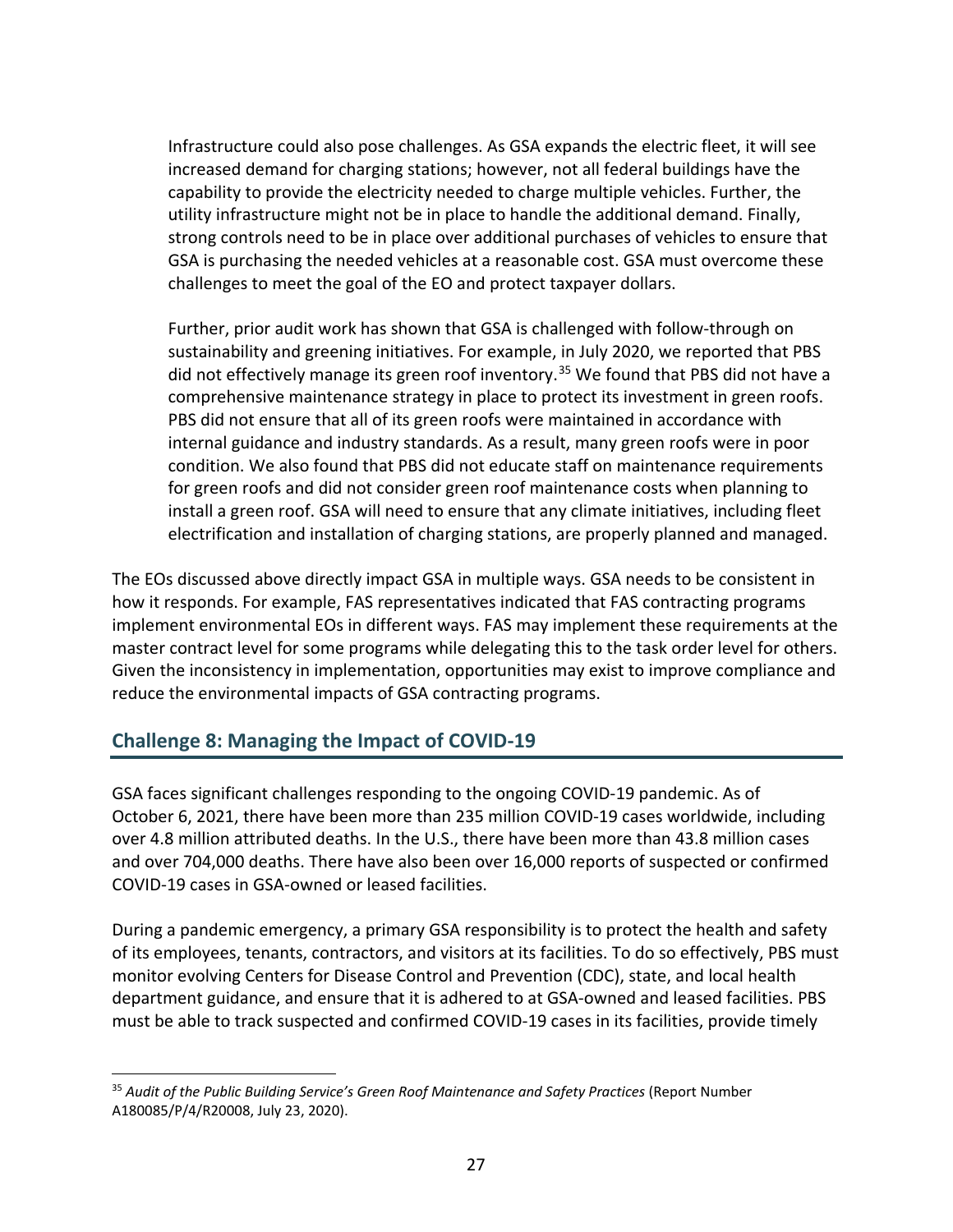Infrastructure could also pose challenges. As GSA expands the electric fleet, it will see increased demand for charging stations; however, not all federal buildings have the capability to provide the electricity needed to charge multiple vehicles. Further, the utility infrastructure might not be in place to handle the additional demand. Finally, strong controls need to be in place over additional purchases of vehicles to ensure that GSA is purchasing the needed vehicles at a reasonable cost. GSA must overcome these challenges to meet the goal of the EO and protect taxpayer dollars.

Further, prior audit work has shown that GSA is challenged with follow-through on sustainability and greening initiatives. For example, in July 2020, we reported that PBS did not effectively manage its green roof inventory.<sup>[35](#page-27-0)</sup> We found that PBS did not have a comprehensive maintenance strategy in place to protect its investment in green roofs. PBS did not ensure that all of its green roofs were maintained in accordance with internal guidance and industry standards. As a result, many green roofs were in poor condition. We also found that PBS did not educate staff on maintenance requirements for green roofs and did not consider green roof maintenance costs when planning to install a green roof. GSA will need to ensure that any climate initiatives, including fleet electrification and installation of charging stations, are properly planned and managed.

The EOs discussed above directly impact GSA in multiple ways. GSA needs to be consistent in how it responds. For example, FAS representatives indicated that FAS contracting programs implement environmental EOs in different ways. FAS may implement these requirements at the master contract level for some programs while delegating this to the task order level for others. Given the inconsistency in implementation, opportunities may exist to improve compliance and reduce the environmental impacts of GSA contracting programs.

# **Challenge 8: Managing the Impact of COVID-19**

 $\overline{a}$ 

GSA faces significant challenges responding to the ongoing COVID-19 pandemic. As of October 6, 2021, there have been more than 235 million COVID-19 cases worldwide, including over 4.8 million attributed deaths. In the U.S., there have been more than 43.8 million cases and over 704,000 deaths. There have also been over 16,000 reports of suspected or confirmed COVID-19 cases in GSA-owned or leased facilities.

During a pandemic emergency, a primary GSA responsibility is to protect the health and safety of its employees, tenants, contractors, and visitors at its facilities. To do so effectively, PBS must monitor evolving Centers for Disease Control and Prevention (CDC), state, and local health department guidance, and ensure that it is adhered to at GSA-owned and leased facilities. PBS must be able to track suspected and confirmed COVID-19 cases in its facilities, provide timely

<span id="page-27-0"></span><sup>&</sup>lt;sup>35</sup> Audit of the Public Building Service's Green Roof Maintenance and Safety Practices (Report Number A180085/P/4/R20008, July 23, 2020).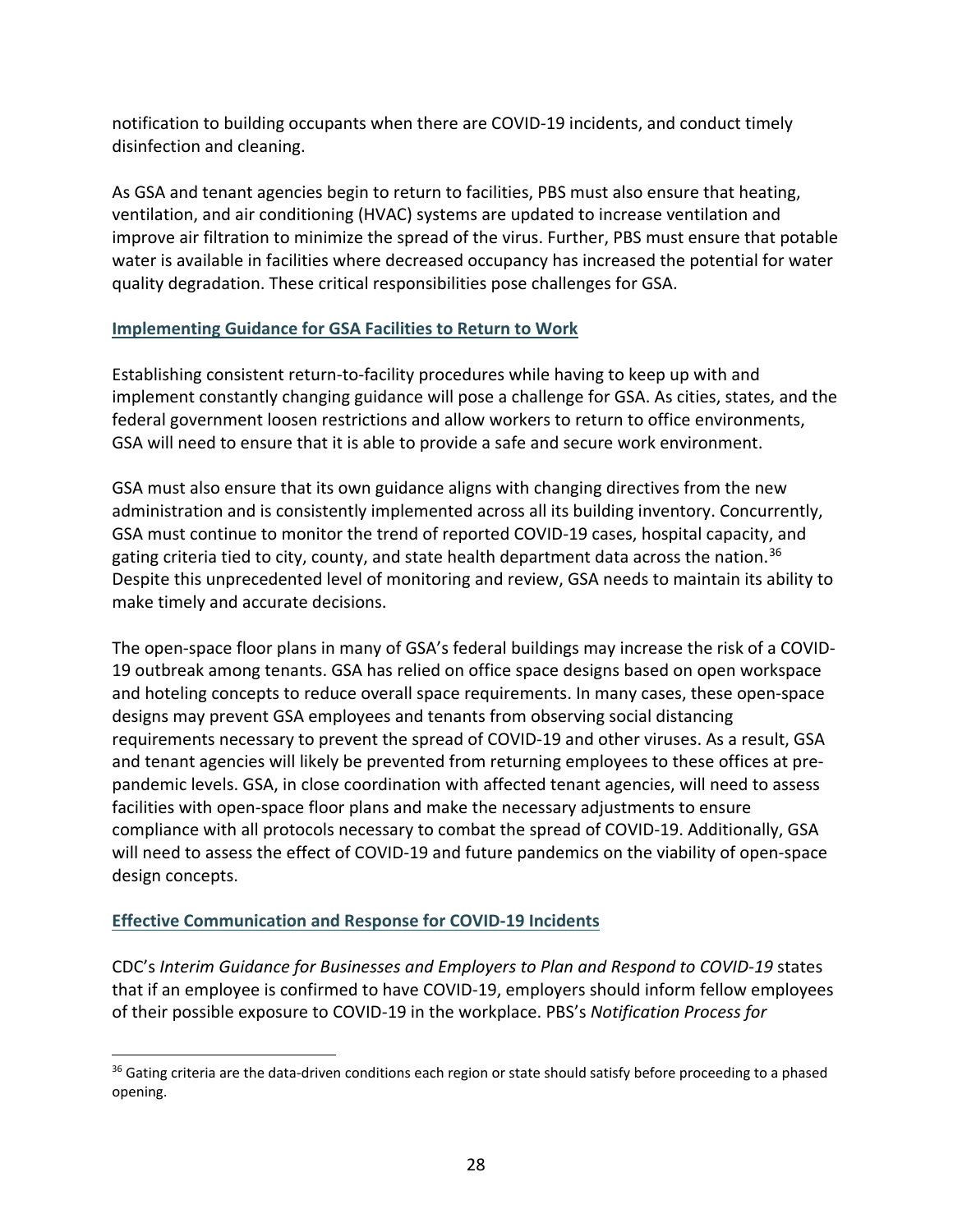notification to building occupants when there are COVID-19 incidents, and conduct timely disinfection and cleaning.

As GSA and tenant agencies begin to return to facilities, PBS must also ensure that heating, ventilation, and air conditioning (HVAC) systems are updated to increase ventilation and improve air filtration to minimize the spread of the virus. Further, PBS must ensure that potable water is available in facilities where decreased occupancy has increased the potential for water quality degradation. These critical responsibilities pose challenges for GSA.

## **Implementing Guidance for GSA Facilities to Return to Work**

Establishing consistent return-to-facility procedures while having to keep up with and implement constantly changing guidance will pose a challenge for GSA. As cities, states, and the federal government loosen restrictions and allow workers to return to office environments, GSA will need to ensure that it is able to provide a safe and secure work environment.

GSA must also ensure that its own guidance aligns with changing directives from the new administration and is consistently implemented across all its building inventory. Concurrently, GSA must continue to monitor the trend of reported COVID-19 cases, hospital capacity, and gating criteria tied to city, county, and state health department data across the nation.<sup>[36](#page-28-0)</sup> Despite this unprecedented level of monitoring and review, GSA needs to maintain its ability to make timely and accurate decisions.

The open-space floor plans in many of GSA's federal buildings may increase the risk of a COVID-19 outbreak among tenants. GSA has relied on office space designs based on open workspace and hoteling concepts to reduce overall space requirements. In many cases, these open-space designs may prevent GSA employees and tenants from observing social distancing requirements necessary to prevent the spread of COVID-19 and other viruses. As a result, GSA and tenant agencies will likely be prevented from returning employees to these offices at prepandemic levels. GSA, in close coordination with affected tenant agencies, will need to assess facilities with open-space floor plans and make the necessary adjustments to ensure compliance with all protocols necessary to combat the spread of COVID-19. Additionally, GSA will need to assess the effect of COVID-19 and future pandemics on the viability of open-space design concepts.

## **Effective Communication and Response for COVID-19 Incidents**

 $\overline{\phantom{a}}$ 

CDC's *Interim Guidance for Businesses and Employers to Plan and Respond to COVID-19* states that if an employee is confirmed to have COVID-19, employers should inform fellow employees of their possible exposure to COVID-19 in the workplace. PBS's *Notification Process for* 

<span id="page-28-0"></span><sup>&</sup>lt;sup>36</sup> Gating criteria are the data-driven conditions each region or state should satisfy before proceeding to a phased opening.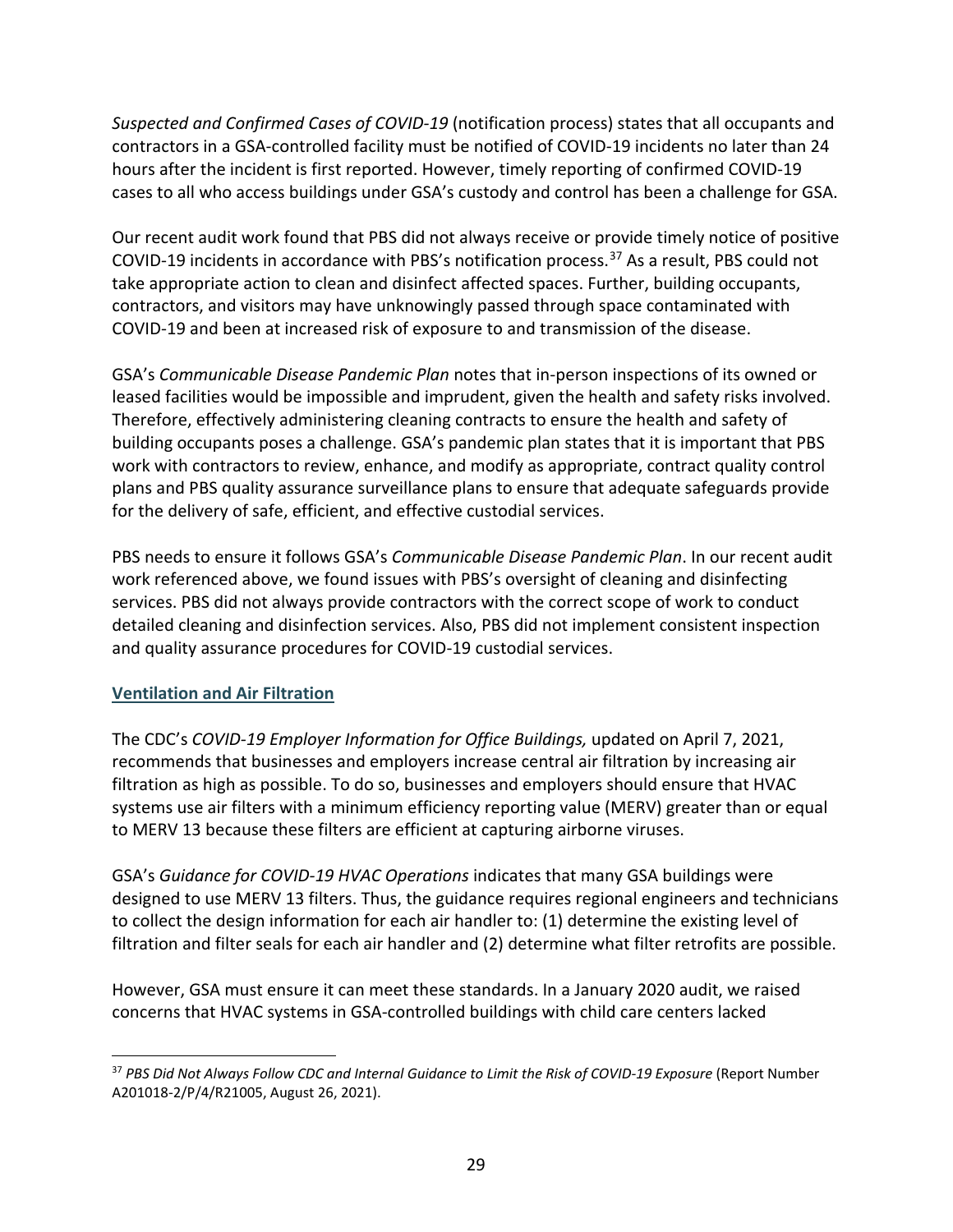*Suspected and Confirmed Cases of COVID-19* (notification process) states that all occupants and contractors in a GSA-controlled facility must be notified of COVID-19 incidents no later than 24 hours after the incident is first reported. However, timely reporting of confirmed COVID-19 cases to all who access buildings under GSA's custody and control has been a challenge for GSA.

Our recent audit work found that PBS did not always receive or provide timely notice of positive COVID-19 incidents in accordance with PBS's notification process.[37](#page-29-0) As a result, PBS could not take appropriate action to clean and disinfect affected spaces. Further, building occupants, contractors, and visitors may have unknowingly passed through space contaminated with COVID-19 and been at increased risk of exposure to and transmission of the disease.

GSA's *Communicable Disease Pandemic Plan* notes that in-person inspections of its owned or leased facilities would be impossible and imprudent, given the health and safety risks involved. Therefore, effectively administering cleaning contracts to ensure the health and safety of building occupants poses a challenge. GSA's pandemic plan states that it is important that PBS work with contractors to review, enhance, and modify as appropriate, contract quality control plans and PBS quality assurance surveillance plans to ensure that adequate safeguards provide for the delivery of safe, efficient, and effective custodial services.

PBS needs to ensure it follows GSA's *Communicable Disease Pandemic Plan*. In our recent audit work referenced above, we found issues with PBS's oversight of cleaning and disinfecting services. PBS did not always provide contractors with the correct scope of work to conduct detailed cleaning and disinfection services. Also, PBS did not implement consistent inspection and quality assurance procedures for COVID-19 custodial services.

## **Ventilation and Air Filtration**

l

The CDC's *COVID-19 Employer Information for Office Buildings,* updated on April 7, 2021, recommends that businesses and employers increase central air filtration by increasing air filtration as high as possible. To do so, businesses and employers should ensure that HVAC systems use air filters with a minimum efficiency reporting value (MERV) greater than or equal to MERV 13 because these filters are efficient at capturing airborne viruses.

GSA's *Guidance for COVID-19 HVAC Operations* indicates that many GSA buildings were designed to use MERV 13 filters. Thus, the guidance requires regional engineers and technicians to collect the design information for each air handler to: (1) determine the existing level of filtration and filter seals for each air handler and (2) determine what filter retrofits are possible.

However, GSA must ensure it can meet these standards. In a January 2020 audit, we raised concerns that HVAC systems in GSA-controlled buildings with child care centers lacked

<span id="page-29-0"></span><sup>&</sup>lt;sup>37</sup> PBS Did Not Always Follow CDC and Internal Guidance to Limit the Risk of COVID-19 Exposure (Report Number A201018-2/P/4/R21005, August 26, 2021).